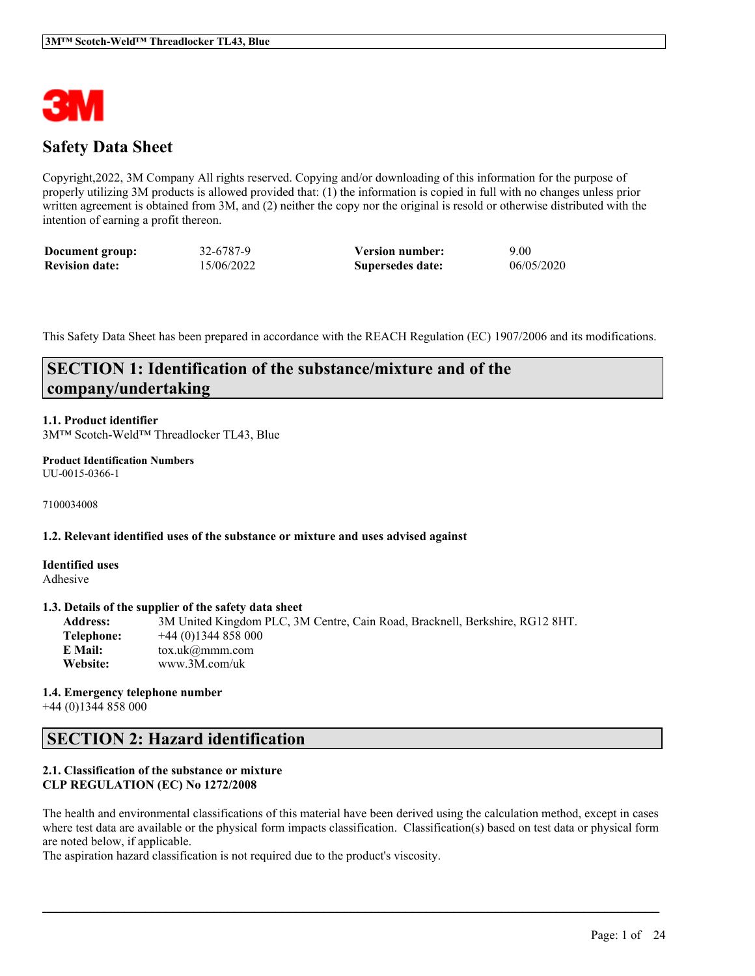

# **Safety Data Sheet**

Copyright,2022, 3M Company All rights reserved. Copying and/or downloading of this information for the purpose of properly utilizing 3M products is allowed provided that: (1) the information is copied in full with no changes unless prior written agreement is obtained from 3M, and (2) neither the copy nor the original is resold or otherwise distributed with the intention of earning a profit thereon.

| Document group:       | 32-6787-9  | <b>Version number:</b> | 9.00       |
|-----------------------|------------|------------------------|------------|
| <b>Revision date:</b> | 15/06/2022 | Supersedes date:       | 06/05/2020 |

This Safety Data Sheet has been prepared in accordance with the REACH Regulation (EC) 1907/2006 and its modifications.

# **SECTION 1: Identification of the substance/mixture and of the company/undertaking**

### **1.1. Product identifier**

3M™ Scotch-Weld™ Threadlocker TL43, Blue

#### **Product Identification Numbers** UU-0015-0366-1

7100034008

#### **1.2. Relevant identified uses of the substance or mixture and uses advised against**

**Identified uses** Adhesive

### **1.3. Details of the supplier of the safety data sheet**

**Address:** 3M United Kingdom PLC, 3M Centre, Cain Road, Bracknell, Berkshire, RG12 8HT. **Telephone:** +44 (0)1344 858 000 **E Mail:** tox.uk@mmm.com **Website:** www.3M.com/uk

#### **1.4. Emergency telephone number** +44 (0)1344 858 000

## **SECTION 2: Hazard identification**

### **2.1. Classification of the substance or mixture CLP REGULATION (EC) No 1272/2008**

The health and environmental classifications of this material have been derived using the calculation method, except in cases where test data are available or the physical form impacts classification. Classification(s) based on test data or physical form are noted below, if applicable.

 $\mathcal{L}_\mathcal{L} = \mathcal{L}_\mathcal{L} = \mathcal{L}_\mathcal{L} = \mathcal{L}_\mathcal{L} = \mathcal{L}_\mathcal{L} = \mathcal{L}_\mathcal{L} = \mathcal{L}_\mathcal{L} = \mathcal{L}_\mathcal{L} = \mathcal{L}_\mathcal{L} = \mathcal{L}_\mathcal{L} = \mathcal{L}_\mathcal{L} = \mathcal{L}_\mathcal{L} = \mathcal{L}_\mathcal{L} = \mathcal{L}_\mathcal{L} = \mathcal{L}_\mathcal{L} = \mathcal{L}_\mathcal{L} = \mathcal{L}_\mathcal{L}$ 

The aspiration hazard classification is not required due to the product's viscosity.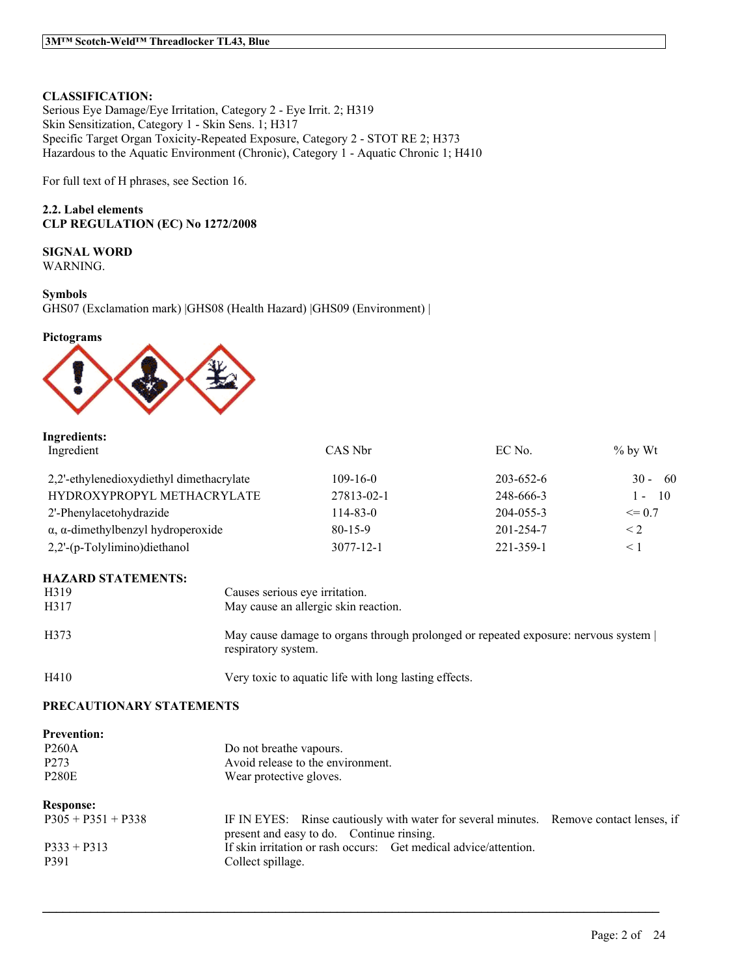### **CLASSIFICATION:**

Serious Eye Damage/Eye Irritation, Category 2 - Eye Irrit. 2; H319 Skin Sensitization, Category 1 - Skin Sens. 1; H317 Specific Target Organ Toxicity-Repeated Exposure, Category 2 - STOT RE 2; H373 Hazardous to the Aquatic Environment (Chronic), Category 1 - Aquatic Chronic 1; H410

For full text of H phrases, see Section 16.

### **2.2. Label elements CLP REGULATION (EC) No 1272/2008**

**SIGNAL WORD** WARNING.

**Symbols**

GHS07 (Exclamation mark) |GHS08 (Health Hazard) |GHS09 (Environment) |

#### **Pictograms**



| Ingredients:                                      |                |           |                      |
|---------------------------------------------------|----------------|-----------|----------------------|
| Ingredient                                        | CAS Nbr        | EC No.    | $\%$ by Wt           |
| 2,2'-ethylenedioxydiethyl dimethacrylate          | $109 - 16 - 0$ | 203-652-6 | $30 - 60$            |
| HYDROXYPROPYL METHACRYLATE                        | 27813-02-1     | 248-666-3 | - 10<br>$\mathbf{I}$ |
| 2'-Phenylacetohydrazide                           | $114 - 83 - 0$ | 204-055-3 | $\leq$ 0.7           |
| $\alpha$ , $\alpha$ -dimethylbenzyl hydroperoxide | $80 - 15 - 9$  | 201-254-7 | $\leq$ 2             |
| 2,2'-(p-Tolylimino)diethanol                      | 3077-12-1      | 221-359-1 | $\leq 1$             |

#### **HAZARD STATEMENTS:**

| H <sub>3</sub> 19 | Causes serious eye irritation.                                                                           |
|-------------------|----------------------------------------------------------------------------------------------------------|
| H317              | May cause an allergic skin reaction.                                                                     |
| H373              | May cause damage to organs through prolonged or repeated exposure: nervous system<br>respiratory system. |
| H410              | Very toxic to aquatic life with long lasting effects.                                                    |

### **PRECAUTIONARY STATEMENTS**

| <b>Prevention:</b><br><b>P260A</b><br>P <sub>273</sub><br><b>P280E</b> | Do not breathe vapours.<br>Avoid release to the environment.<br>Wear protective gloves.                                             |  |
|------------------------------------------------------------------------|-------------------------------------------------------------------------------------------------------------------------------------|--|
| <b>Response:</b>                                                       |                                                                                                                                     |  |
| $P305 + P351 + P338$                                                   | IF IN EYES: Rinse cautiously with water for several minutes. Remove contact lenses, if<br>present and easy to do. Continue rinsing. |  |
| $P333 + P313$<br>P391                                                  | If skin irritation or rash occurs: Get medical advice/attention.<br>Collect spillage.                                               |  |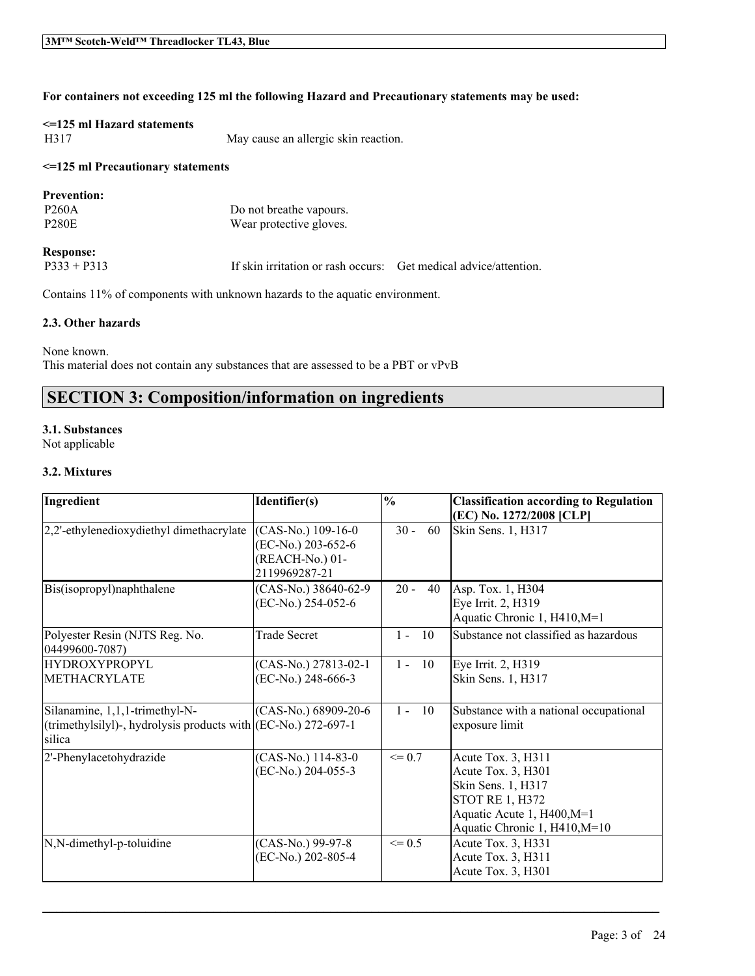### **For containers not exceeding 125 ml the following Hazard and Precautionary statements may be used:**

# **<=125 ml Hazard statements**

H317 May cause an allergic skin reaction.

### **<=125 ml Precautionary statements**

### **Prevention:**

P260A Do not breathe vapours.<br>P280E Wear protective gloves. Wear protective gloves.

# **Response:**<br>P333 + P313

If skin irritation or rash occurs: Get medical advice/attention.

Contains 11% of components with unknown hazards to the aquatic environment.

### **2.3. Other hazards**

None known. This material does not contain any substances that are assessed to be a PBT or vPvB

# **SECTION 3: Composition/information on ingredients**

### **3.1. Substances**

Not applicable

### **3.2. Mixtures**

| Ingredient                                                                                                  | Identifier(s)                                                                  | $\frac{0}{0}$ | <b>Classification according to Regulation</b><br>(EC) No. 1272/2008 [CLP]                                                                               |
|-------------------------------------------------------------------------------------------------------------|--------------------------------------------------------------------------------|---------------|---------------------------------------------------------------------------------------------------------------------------------------------------------|
| 2,2'-ethylenedioxydiethyl dimethacrylate                                                                    | $(CAS-No.)$ 109-16-0<br>(EC-No.) 203-652-6<br>(REACH-No.) 01-<br>2119969287-21 | $30 -$<br>60  | Skin Sens. 1, H317                                                                                                                                      |
| Bis(isopropyl)naphthalene                                                                                   | (CAS-No.) 38640-62-9<br>(EC-No.) 254-052-6                                     | $20 -$<br>40  | Asp. Tox. 1, H304<br>Eye Irrit. 2, H319<br>Aquatic Chronic 1, H410, M=1                                                                                 |
| Polyester Resin (NJTS Reg. No.<br>04499600-7087)                                                            | <b>Trade Secret</b>                                                            | $1 - 10$      | Substance not classified as hazardous                                                                                                                   |
| <b>HYDROXYPROPYL</b>                                                                                        | (CAS-No.) 27813-02-1                                                           | $1 - 10$      | Eye Irrit. 2, H319                                                                                                                                      |
| <b>METHACRYLATE</b>                                                                                         | (EC-No.) 248-666-3                                                             |               | Skin Sens. 1, H317                                                                                                                                      |
| Silanamine, 1,1,1-trimethyl-N-<br>(trimethylsilyl)-, hydrolysis products with $(EC-N0)$ 272-697-1<br>silica | (CAS-No.) 68909-20-6                                                           | $1 -$<br>10   | Substance with a national occupational<br>exposure limit                                                                                                |
| 2'-Phenylacetohydrazide                                                                                     | $(CAS-No.)$ 114-83-0<br>(EC-No.) 204-055-3                                     | $\leq$ 0.7    | Acute Tox. 3, H311<br>Acute Tox. 3, H301<br>Skin Sens. 1, H317<br><b>STOT RE 1, H372</b><br>Aquatic Acute 1, H400, M=1<br>Aquatic Chronic 1, H410, M=10 |
| N,N-dimethyl-p-toluidine                                                                                    | (CAS-No.) 99-97-8<br>(EC-No.) 202-805-4                                        | $\leq 0.5$    | Acute Tox. 3, H331<br>Acute Tox. 3, H311<br>Acute Tox. 3, H301                                                                                          |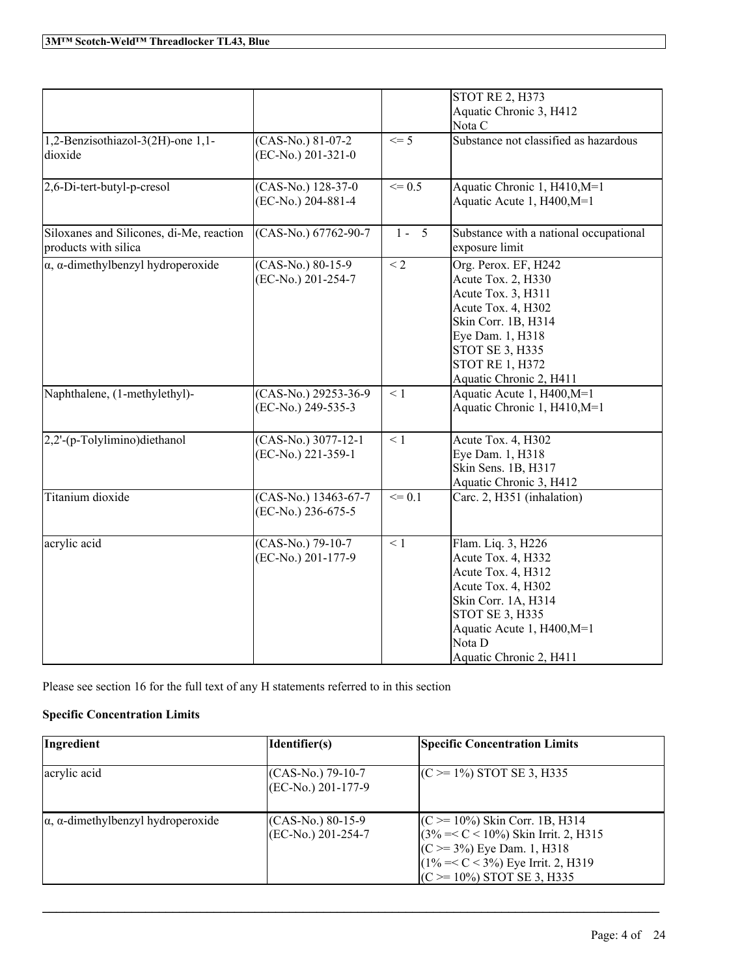|                                                   |                      |            | <b>STOT RE 2, H373</b>                                          |
|---------------------------------------------------|----------------------|------------|-----------------------------------------------------------------|
|                                                   |                      |            | Aquatic Chronic 3, H412                                         |
|                                                   |                      |            | Nota C                                                          |
| 1,2-Benzisothiazol-3(2H)-one 1,1-                 | (CAS-No.) 81-07-2    | $\leq$ 5   | Substance not classified as hazardous                           |
| dioxide                                           | (EC-No.) 201-321-0   |            |                                                                 |
|                                                   |                      |            |                                                                 |
| 2,6-Di-tert-butyl-p-cresol                        | (CAS-No.) 128-37-0   | $\leq 0.5$ | Aquatic Chronic 1, H410, M=1                                    |
|                                                   | (EC-No.) 204-881-4   |            | Aquatic Acute 1, H400, M=1                                      |
|                                                   |                      |            |                                                                 |
| Siloxanes and Silicones, di-Me, reaction          | (CAS-No.) 67762-90-7 | $1 - 5$    | Substance with a national occupational                          |
| products with silica                              |                      |            | exposure limit                                                  |
| $\alpha$ , $\alpha$ -dimethylbenzyl hydroperoxide | $(CAS-No.) 80-15-9$  | $\leq$ 2   | Org. Perox. EF, H242                                            |
|                                                   | (EC-No.) 201-254-7   |            | Acute Tox. 2, H330                                              |
|                                                   |                      |            |                                                                 |
|                                                   |                      |            | Acute Tox. 3, H311                                              |
|                                                   |                      |            | Acute Tox. 4, H302                                              |
|                                                   |                      |            | Skin Corr. 1B, H314                                             |
|                                                   |                      |            | Eye Dam. 1, H318                                                |
|                                                   |                      |            | STOT SE 3, H335                                                 |
|                                                   |                      |            | <b>STOT RE 1, H372</b>                                          |
|                                                   |                      |            | Aquatic Chronic 2, H411                                         |
| Naphthalene, (1-methylethyl)-                     | (CAS-No.) 29253-36-9 | $\leq 1$   | Aquatic Acute 1, H400, M=1                                      |
|                                                   | (EC-No.) 249-535-3   |            | Aquatic Chronic 1, H410, M=1                                    |
|                                                   |                      |            |                                                                 |
| 2,2'-(p-Tolylimino)diethanol                      | (CAS-No.) 3077-12-1  | $\leq 1$   | Acute Tox. 4, H302                                              |
|                                                   | (EC-No.) 221-359-1   |            | Eye Dam. 1, H318                                                |
|                                                   |                      |            | Skin Sens. 1B, H317                                             |
|                                                   |                      |            | Aquatic Chronic 3, H412                                         |
| Titanium dioxide                                  | (CAS-No.) 13463-67-7 | $\leq 0.1$ | Carc. 2, H351 (inhalation)                                      |
|                                                   | (EC-No.) 236-675-5   |            |                                                                 |
|                                                   |                      |            |                                                                 |
| acrylic acid                                      | $(CAS-No.)$ 79-10-7  | $\leq 1$   | Flam. Liq. 3, H226                                              |
|                                                   | (EC-No.) 201-177-9   |            | Acute Tox. 4, H332                                              |
|                                                   |                      |            | Acute Tox. 4, H312                                              |
|                                                   |                      |            | Acute Tox. 4, H302                                              |
|                                                   |                      |            | Skin Corr. 1A, H314                                             |
|                                                   |                      |            | STOT SE 3, H335                                                 |
|                                                   |                      |            |                                                                 |
|                                                   |                      |            |                                                                 |
|                                                   |                      |            |                                                                 |
|                                                   |                      |            | Aquatic Acute 1, H400, M=1<br>Nota D<br>Aquatic Chronic 2, H411 |

Please see section 16 for the full text of any H statements referred to in this section

# **Specific Concentration Limits**

| Ingredient                                        | Identifier(s)                                 | <b>Specific Concentration Limits</b>                                                                                                                                                         |
|---------------------------------------------------|-----------------------------------------------|----------------------------------------------------------------------------------------------------------------------------------------------------------------------------------------------|
| acrylic acid                                      | $(CAS-No.)$ 79-10-7<br>$ $ (EC-No.) 201-177-9 | $(C \ge 1\%)$ STOT SE 3, H335                                                                                                                                                                |
| $\alpha$ , $\alpha$ -dimethylbenzyl hydroperoxide | $(CAS-N0.) 80-15-9$<br>$(EC-No.) 201-254-7$   | $(C \ge 10\%)$ Skin Corr. 1B, H314<br>$(3\% = < C < 10\%)$ Skin Irrit. 2, H315<br>$(C \ge 3\%)$ Eye Dam. 1, H318<br>$(1\% = < C < 3\%)$ Eye Irrit. 2, H319<br>$(C \ge 10\%)$ STOT SE 3, H335 |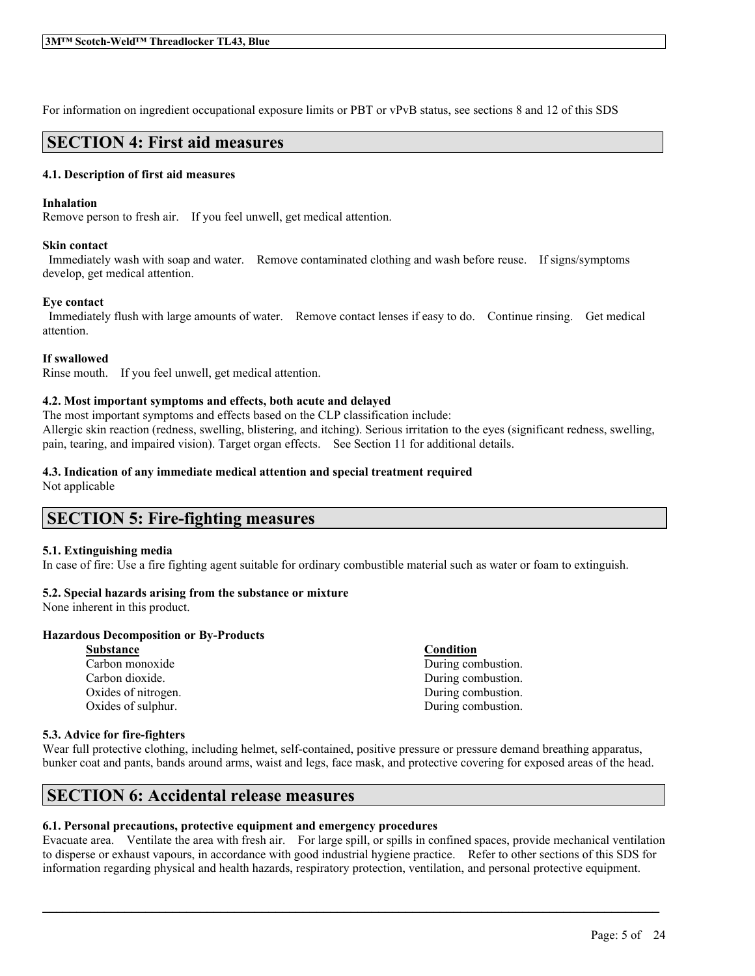For information on ingredient occupational exposure limits or PBT or vPvB status, see sections 8 and 12 of this SDS

# **SECTION 4: First aid measures**

### **4.1. Description of first aid measures**

### **Inhalation**

Remove person to fresh air. If you feel unwell, get medical attention.

### **Skin contact**

Immediately wash with soap and water. Remove contaminated clothing and wash before reuse. If signs/symptoms develop, get medical attention.

### **Eye contact**

Immediately flush with large amounts of water. Remove contact lenses if easy to do. Continue rinsing. Get medical attention.

### **If swallowed**

Rinse mouth. If you feel unwell, get medical attention.

### **4.2. Most important symptoms and effects, both acute and delayed**

The most important symptoms and effects based on the CLP classification include: Allergic skin reaction (redness, swelling, blistering, and itching). Serious irritation to the eyes (significant redness, swelling, pain, tearing, and impaired vision). Target organ effects. See Section 11 for additional details.

### **4.3. Indication of any immediate medical attention and special treatment required**

Not applicable

## **SECTION 5: Fire-fighting measures**

#### **5.1. Extinguishing media**

In case of fire: Use a fire fighting agent suitable for ordinary combustible material such as water or foam to extinguish.

### **5.2. Special hazards arising from the substance or mixture**

None inherent in this product.

#### **Hazardous Decomposition or By-Products**

**Substance Condition**

Carbon monoxide During combustion. Carbon dioxide. During combustion. Oxides of nitrogen. During combustion. Oxides of sulphur. During combustion.

### **5.3. Advice for fire-fighters**

Wear full protective clothing, including helmet, self-contained, positive pressure or pressure demand breathing apparatus, bunker coat and pants, bands around arms, waist and legs, face mask, and protective covering for exposed areas of the head.

# **SECTION 6: Accidental release measures**

### **6.1. Personal precautions, protective equipment and emergency procedures**

Evacuate area. Ventilate the area with fresh air. For large spill, or spills in confined spaces, provide mechanical ventilation to disperse or exhaust vapours, in accordance with good industrial hygiene practice. Refer to other sections of this SDS for information regarding physical and health hazards, respiratory protection, ventilation, and personal protective equipment.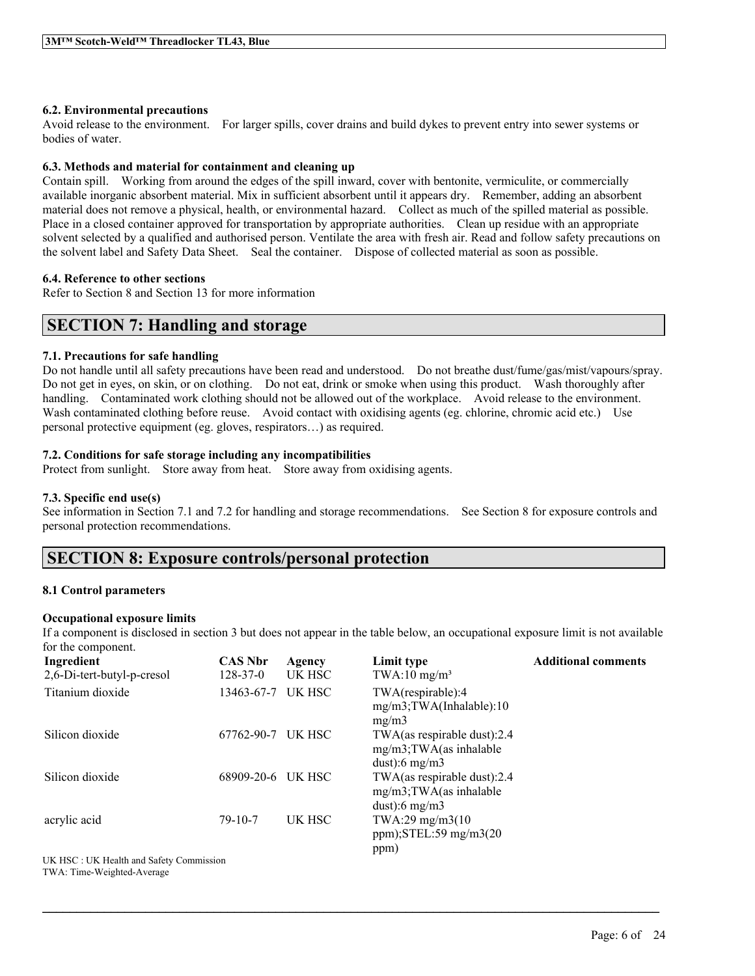### **6.2. Environmental precautions**

Avoid release to the environment. For larger spills, cover drains and build dykes to prevent entry into sewer systems or bodies of water.

### **6.3. Methods and material for containment and cleaning up**

Contain spill. Working from around the edges of the spill inward, cover with bentonite, vermiculite, or commercially available inorganic absorbent material. Mix in sufficient absorbent until it appears dry. Remember, adding an absorbent material does not remove a physical, health, or environmental hazard. Collect as much of the spilled material as possible. Place in a closed container approved for transportation by appropriate authorities. Clean up residue with an appropriate solvent selected by a qualified and authorised person. Ventilate the area with fresh air. Read and follow safety precautions on the solvent label and Safety Data Sheet. Seal the container. Dispose of collected material as soon as possible.

### **6.4. Reference to other sections**

Refer to Section 8 and Section 13 for more information

# **SECTION 7: Handling and storage**

### **7.1. Precautions for safe handling**

Do not handle until all safety precautions have been read and understood. Do not breathe dust/fume/gas/mist/vapours/spray. Do not get in eyes, on skin, or on clothing. Do not eat, drink or smoke when using this product. Wash thoroughly after handling. Contaminated work clothing should not be allowed out of the workplace. Avoid release to the environment. Wash contaminated clothing before reuse. Avoid contact with oxidising agents (eg. chlorine, chromic acid etc.) Use personal protective equipment (eg. gloves, respirators…) as required.

### **7.2. Conditions for safe storage including any incompatibilities**

Protect from sunlight. Store away from heat. Store away from oxidising agents.

### **7.3. Specific end use(s)**

See information in Section 7.1 and 7.2 for handling and storage recommendations. See Section 8 for exposure controls and personal protection recommendations.

# **SECTION 8: Exposure controls/personal protection**

### **8.1 Control parameters**

### **Occupational exposure limits**

If a component is disclosed in section 3 but does not appear in the table below, an occupational exposure limit is not available for the component.

| Ingredient                 | <b>CAS Nbr</b> | Agency | Limit type                                                                 | <b>Additional comments</b> |
|----------------------------|----------------|--------|----------------------------------------------------------------------------|----------------------------|
| 2,6-Di-tert-butyl-p-cresol | $128 - 37 - 0$ | UK HSC | $TWA:10$ mg/m <sup>3</sup>                                                 |                            |
| Titanium dioxide           | 13463-67-7     | UK HSC | TWA(respirable):4<br>$mg/m3$ ; TWA(Inhalable): 10<br>mg/m3                 |                            |
| Silicon dioxide            | 67762-90-7     | UK HSC | TWA(as respirable dust):2.4<br>$mg/m3$ ; TWA(as inhalable<br>dust):6 mg/m3 |                            |
| Silicon dioxide            | 68909-20-6     | UK HSC | TWA(as respirable dust):2.4<br>$mg/m3$ ; TWA(as inhalable<br>dust):6 mg/m3 |                            |
| acrylic acid               | $79 - 10 - 7$  | UK HSC | TWA:29 mg/m3(10)<br>ppm); $STEL:59$ mg/m $3(20)$<br>ppm)                   |                            |

 $\mathcal{L}_\mathcal{L} = \mathcal{L}_\mathcal{L} = \mathcal{L}_\mathcal{L} = \mathcal{L}_\mathcal{L} = \mathcal{L}_\mathcal{L} = \mathcal{L}_\mathcal{L} = \mathcal{L}_\mathcal{L} = \mathcal{L}_\mathcal{L} = \mathcal{L}_\mathcal{L} = \mathcal{L}_\mathcal{L} = \mathcal{L}_\mathcal{L} = \mathcal{L}_\mathcal{L} = \mathcal{L}_\mathcal{L} = \mathcal{L}_\mathcal{L} = \mathcal{L}_\mathcal{L} = \mathcal{L}_\mathcal{L} = \mathcal{L}_\mathcal{L}$ 

UK HSC : UK Health and Safety Commission TWA: Time-Weighted-Average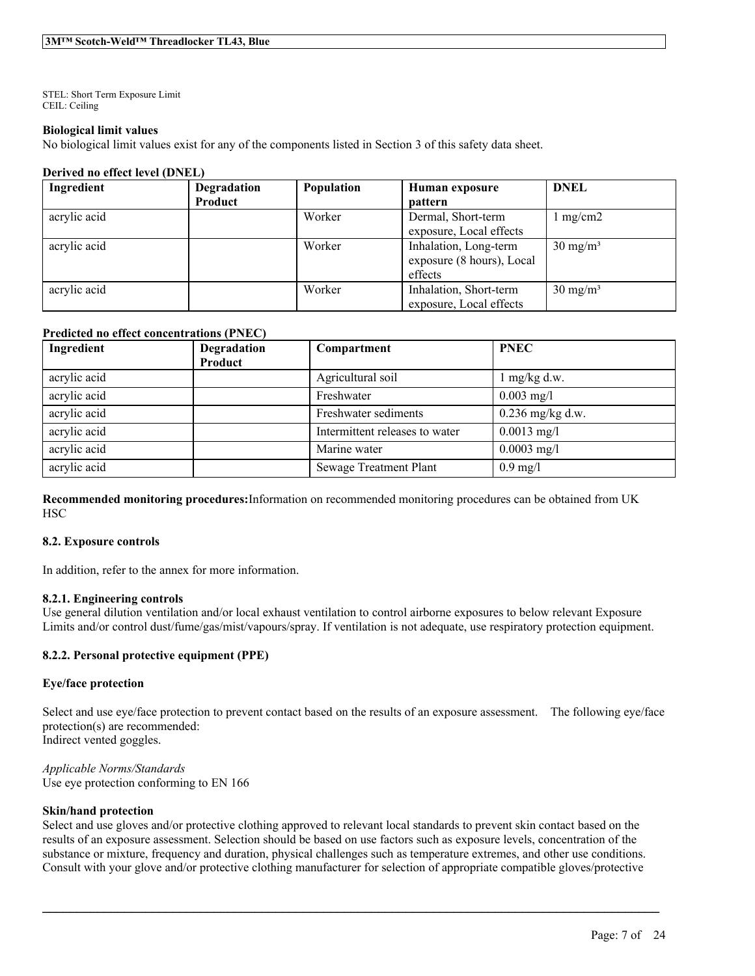STEL: Short Term Exposure Limit CEIL: Ceiling

### **Biological limit values**

No biological limit values exist for any of the components listed in Section 3 of this safety data sheet.

#### **Derived no effect level (DNEL)**

| Ingredient   | Degradation | Population | Human exposure            | <b>DNEL</b>         |
|--------------|-------------|------------|---------------------------|---------------------|
|              | Product     |            | <b>pattern</b>            |                     |
| acrylic acid |             | Worker     | Dermal, Short-term        | $1 \text{ mg/cm2}$  |
|              |             |            | exposure, Local effects   |                     |
| acrylic acid |             | Worker     | Inhalation, Long-term     | $30 \text{ mg/m}^3$ |
|              |             |            | exposure (8 hours), Local |                     |
|              |             |            | effects                   |                     |
| acrylic acid |             | Worker     | Inhalation, Short-term    | $30 \text{ mg/m}^3$ |
|              |             |            | exposure, Local effects   |                     |

### **Predicted no effect concentrations (PNEC)**

| Ingredient   | Degradation | Compartment                    | <b>PNEC</b>        |
|--------------|-------------|--------------------------------|--------------------|
|              | Product     |                                |                    |
| acrylic acid |             | Agricultural soil              | $mg/kg$ d.w.       |
| acrylic acid |             | Freshwater                     | $0.003$ mg/l       |
| acrylic acid |             | Freshwater sediments           | $0.236$ mg/kg d.w. |
| acrylic acid |             | Intermittent releases to water | $0.0013$ mg/l      |
| acrylic acid |             | Marine water                   | $0.0003$ mg/l      |
| acrylic acid |             | <b>Sewage Treatment Plant</b>  | $0.9$ mg/l         |

**Recommended monitoring procedures:**Information on recommended monitoring procedures can be obtained from UK **HSC** 

#### **8.2. Exposure controls**

In addition, refer to the annex for more information.

#### **8.2.1. Engineering controls**

Use general dilution ventilation and/or local exhaust ventilation to control airborne exposures to below relevant Exposure Limits and/or control dust/fume/gas/mist/vapours/spray. If ventilation is not adequate, use respiratory protection equipment.

### **8.2.2. Personal protective equipment (PPE)**

### **Eye/face protection**

Select and use eye/face protection to prevent contact based on the results of an exposure assessment. The following eye/face protection(s) are recommended: Indirect vented goggles.

*Applicable Norms/Standards* Use eye protection conforming to EN 166

#### **Skin/hand protection**

Select and use gloves and/or protective clothing approved to relevant local standards to prevent skin contact based on the results of an exposure assessment. Selection should be based on use factors such as exposure levels, concentration of the substance or mixture, frequency and duration, physical challenges such as temperature extremes, and other use conditions. Consult with your glove and/or protective clothing manufacturer for selection of appropriate compatible gloves/protective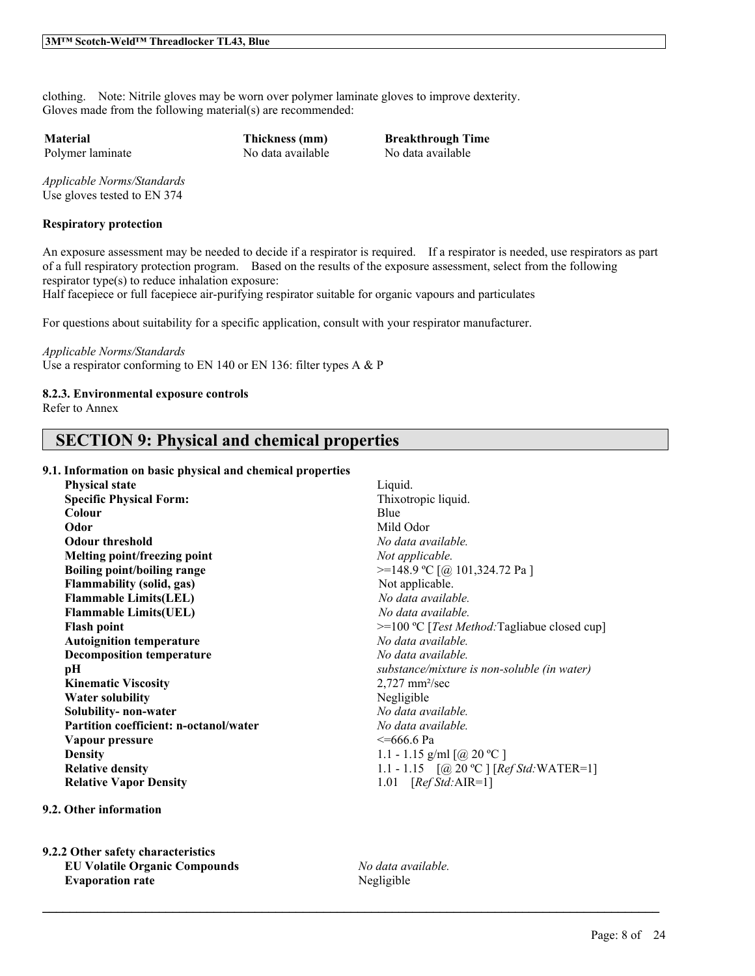clothing. Note: Nitrile gloves may be worn over polymer laminate gloves to improve dexterity. Gloves made from the following material(s) are recommended:

Polymer laminate No data available No data available

**Material Thickness (mm) Breakthrough Time**

*Applicable Norms/Standards* Use gloves tested to EN 374

### **Respiratory protection**

An exposure assessment may be needed to decide if a respirator is required. If a respirator is needed, use respirators as part of a full respiratory protection program. Based on the results of the exposure assessment, select from the following respirator type(s) to reduce inhalation exposure:

Half facepiece or full facepiece air-purifying respirator suitable for organic vapours and particulates

For questions about suitability for a specific application, consult with your respirator manufacturer.

#### *Applicable Norms/Standards*

Use a respirator conforming to EN 140 or EN 136: filter types A & P

### **8.2.3. Environmental exposure controls**

Refer to Annex

# **SECTION 9: Physical and chemical properties**

### **9.1. Information on basic physical and chemical properties**

| <b>Physical state</b>                         | Liquid.      |
|-----------------------------------------------|--------------|
| <b>Specific Physical Form:</b>                | Thixoti      |
| Colour                                        | Blue         |
| Odor                                          | Mild O       |
| <b>Odour threshold</b>                        | No date      |
| Melting point/freezing point                  | Not app      |
| <b>Boiling point/boiling range</b>            | $>=148.$     |
| <b>Flammability (solid, gas)</b>              | Not ap       |
| <b>Flammable Limits(LEL)</b>                  | No dat       |
| <b>Flammable Limits(UEL)</b>                  | No dat       |
| <b>Flash point</b>                            | $>=100$      |
| <b>Autoignition temperature</b>               | No date      |
| <b>Decomposition temperature</b>              | No date      |
| рH                                            | substar      |
| <b>Kinematic Viscosity</b>                    | $2,727$ n    |
| <b>Water solubility</b>                       | Negligi      |
| Solubility- non-water                         | No date      |
| <b>Partition coefficient: n-octanol/water</b> | No date      |
| Vapour pressure                               | $\leq 666$ . |
| <b>Density</b>                                | $1.1 - 1.$   |
| <b>Relative density</b>                       | $1.1 - 1.$   |
| <b>Relative Vapor Density</b>                 | 1.01         |
|                                               |              |

**9.2. Other information**

**9.2.2 Other safety characteristics EU Volatile Organic Compounds** *No data available.* **Evaporation rate** Negligible

**Specific Physical Form:** Thixotropic liquid. **Odor** Mild Odor **Odour threshold** *No data available.*  $Not$  *applicable.* **Boiling point/boiling range** >=148.9 ºC [@ 101,324.72 Pa ] Not applicable. **Flammable Limits(LEL)** *No data available.* **Flammable Limits(UEL)** *No data available.* **Flash point** >=100 ºC [*Test Method:*Tagliabue closed cup] **Autoignition temperature** *No data available.* **Decomposition temperature** *No data available.*  $substance/mixture$  *is non-soluble* (*in* water) **Kinematic Viscosity** 2,727 mm²/sec **Negligible Solubility- non-water** *No data available.* **Partition coefficient: n-octanol/water** *No data available.* **Vapour pressure** <=666.6 Pa 1.1 - 1.15 g/ml  $\lceil \omega \rceil$  20 °C ] **Relative density** 1.1 - 1.15 [@ 20 ºC ] [*Ref Std:*WATER=1] **1.01** [*Ref Std:*AIR=1]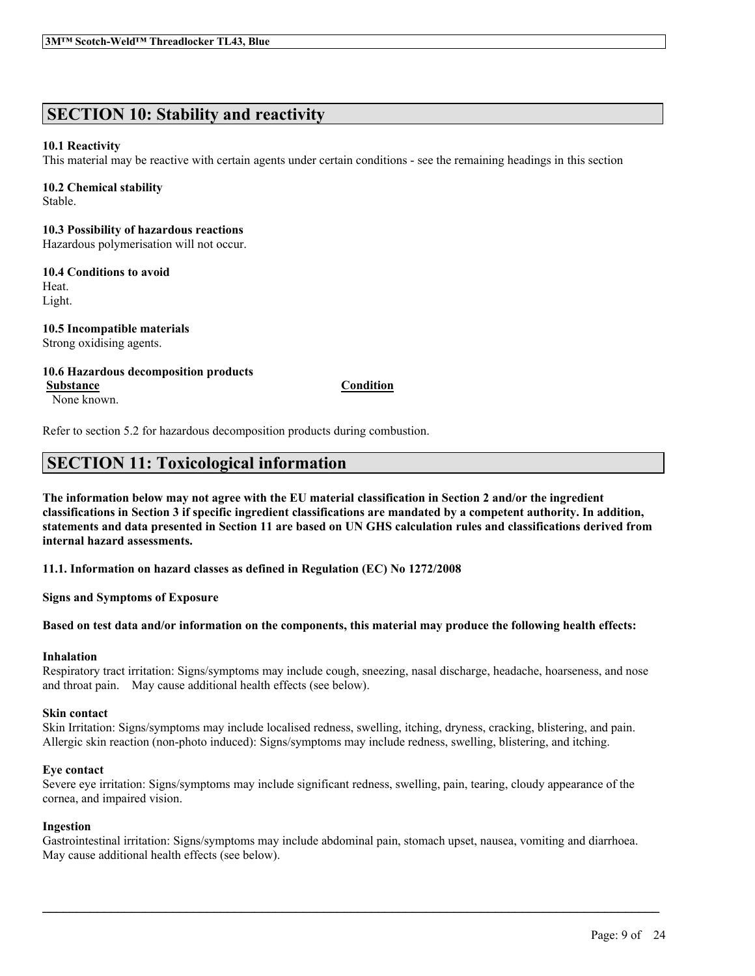# **SECTION 10: Stability and reactivity**

### **10.1 Reactivity**

This material may be reactive with certain agents under certain conditions - see the remaining headings in this section

### **10.2 Chemical stability**

Stable.

### **10.3 Possibility of hazardous reactions**

Hazardous polymerisation will not occur.

### **10.4 Conditions to avoid**

Heat. Light.

### **10.5 Incompatible materials** Strong oxidising agents.

### **10.6 Hazardous decomposition products Substance Condition**

None known.

Refer to section 5.2 for hazardous decomposition products during combustion.

# **SECTION 11: Toxicological information**

The information below may not agree with the EU material classification in Section 2 and/or the ingredient classifications in Section 3 if specific ingredient classifications are mandated by a competent authority. In addition, statements and data presented in Section 11 are based on UN GHS calculation rules and classifications derived from **internal hazard assessments.**

**11.1. Information on hazard classes as defined in Regulation (EC) No 1272/2008**

**Signs and Symptoms of Exposure**

### Based on test data and/or information on the components, this material may produce the following health effects:

## **Inhalation**

Respiratory tract irritation: Signs/symptoms may include cough, sneezing, nasal discharge, headache, hoarseness, and nose and throat pain. May cause additional health effects (see below).

## **Skin contact**

Skin Irritation: Signs/symptoms may include localised redness, swelling, itching, dryness, cracking, blistering, and pain. Allergic skin reaction (non-photo induced): Signs/symptoms may include redness, swelling, blistering, and itching.

## **Eye contact**

Severe eye irritation: Signs/symptoms may include significant redness, swelling, pain, tearing, cloudy appearance of the cornea, and impaired vision.

### **Ingestion**

Gastrointestinal irritation: Signs/symptoms may include abdominal pain, stomach upset, nausea, vomiting and diarrhoea. May cause additional health effects (see below).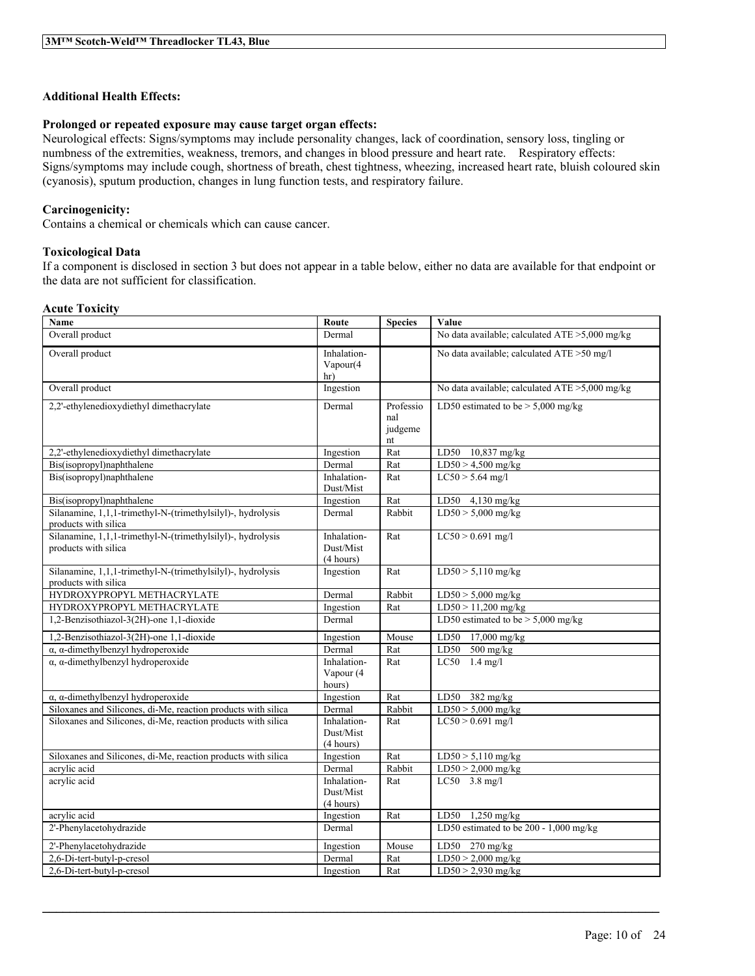### **Additional Health Effects:**

### **Prolonged or repeated exposure may cause target organ effects:**

Neurological effects: Signs/symptoms may include personality changes, lack of coordination, sensory loss, tingling or numbness of the extremities, weakness, tremors, and changes in blood pressure and heart rate. Respiratory effects: Signs/symptoms may include cough, shortness of breath, chest tightness, wheezing, increased heart rate, bluish coloured skin (cyanosis), sputum production, changes in lung function tests, and respiratory failure.

### **Carcinogenicity:**

Contains a chemical or chemicals which can cause cancer.

### **Toxicological Data**

If a component is disclosed in section 3 but does not appear in a table below, either no data are available for that endpoint or the data are not sufficient for classification.

### **Acute Toxicity**

| Name                                                                                | Route                                 | <b>Species</b>                    | Value                                             |
|-------------------------------------------------------------------------------------|---------------------------------------|-----------------------------------|---------------------------------------------------|
| Overall product                                                                     | Dermal                                |                                   | No data available; calculated ATE >5,000 mg/kg    |
| Overall product                                                                     | Inhalation-<br>Vapour(4<br>hr)        |                                   | No data available; calculated ATE >50 mg/l        |
| Overall product                                                                     | Ingestion                             |                                   | No data available; calculated $ATE > 5,000$ mg/kg |
| 2,2'-ethylenedioxydiethyl dimethacrylate                                            | Dermal                                | Professio<br>nal<br>judgeme<br>nt | LD50 estimated to be $> 5,000$ mg/kg              |
| 2,2'-ethylenedioxydiethyl dimethacrylate                                            | Ingestion                             | Rat                               | LD50 10,837 mg/kg                                 |
| Bis(isopropyl)naphthalene                                                           | Dermal                                | Rat                               | $LD50 > 4,500$ mg/kg                              |
| Bis(isopropyl)naphthalene                                                           | Inhalation-<br>Dust/Mist              | Rat                               | $LC50 > 5.64$ mg/l                                |
| Bis(isopropyl)naphthalene                                                           | Ingestion                             | Rat                               | LD50 4,130 mg/kg                                  |
| Silanamine, 1,1,1-trimethyl-N-(trimethylsilyl)-, hydrolysis<br>products with silica | Dermal                                | Rabbit                            | $LD50 > 5,000$ mg/kg                              |
| Silanamine, 1,1,1-trimethyl-N-(trimethylsilyl)-, hydrolysis<br>products with silica | Inhalation-<br>Dust/Mist<br>(4 hours) | Rat                               | $LC50 > 0.691$ mg/l                               |
| Silanamine, 1,1,1-trimethyl-N-(trimethylsilyl)-, hydrolysis<br>products with silica | Ingestion                             | Rat                               | $LD50 > 5,110$ mg/kg                              |
| HYDROXYPROPYL METHACRYLATE                                                          | Dermal                                | Rabbit                            | $LD50 > 5,000$ mg/kg                              |
| HYDROXYPROPYL METHACRYLATE                                                          | Ingestion                             | Rat                               | $LD50 > 11,200$ mg/kg                             |
| 1,2-Benzisothiazol-3(2H)-one 1,1-dioxide                                            | Dermal                                |                                   | LD50 estimated to be $> 5,000$ mg/kg              |
| 1,2-Benzisothiazol-3(2H)-one 1,1-dioxide                                            | Ingestion                             | Mouse                             | LD50<br>17,000 mg/kg                              |
| $\alpha$ , $\alpha$ -dimethylbenzyl hydroperoxide                                   | Dermal                                | Rat                               | LD50<br>$500$ mg/kg                               |
| $\alpha$ , $\alpha$ -dimethylbenzyl hydroperoxide                                   | Inhalation-<br>Vapour (4<br>hours)    | Rat                               | LC50<br>$1.4 \text{ mg}/l$                        |
| $\alpha$ , $\alpha$ -dimethylbenzyl hydroperoxide                                   | Ingestion                             | Rat                               | LD50<br>$382 \text{ mg/kg}$                       |
| Siloxanes and Silicones, di-Me, reaction products with silical                      | Dermal                                | Rabbit                            | $LD50 > 5,000$ mg/kg                              |
| Siloxanes and Silicones, di-Me, reaction products with silica                       | Inhalation-<br>Dust/Mist<br>(4 hours) | Rat                               | $LC50 > 0.691$ mg/l                               |
| Siloxanes and Silicones, di-Me, reaction products with silica                       | Ingestion                             | Rat                               | $LD50 > 5,110$ mg/kg                              |
| acrylic acid                                                                        | Dermal                                | Rabbit                            | $LD50 > 2,000$ mg/kg                              |
| acrylic acid                                                                        | Inhalation-<br>Dust/Mist<br>(4 hours) | Rat                               | LC50 3.8 mg/l                                     |
| acrylic acid                                                                        | Ingestion                             | Rat                               | $1,250$ mg/kg<br>LD50                             |
| 2'-Phenylacetohydrazide                                                             | Dermal                                |                                   | LD50 estimated to be 200 - 1,000 mg/kg            |
| 2'-Phenylacetohydrazide                                                             | Ingestion                             | Mouse                             | LD50 270 mg/kg                                    |
| 2,6-Di-tert-butyl-p-cresol                                                          | Dermal                                | Rat                               | $LD50 > 2,000$ mg/kg                              |
| 2,6-Di-tert-butyl-p-cresol                                                          | Ingestion                             | Rat                               | $LD50 > 2,930$ mg/kg                              |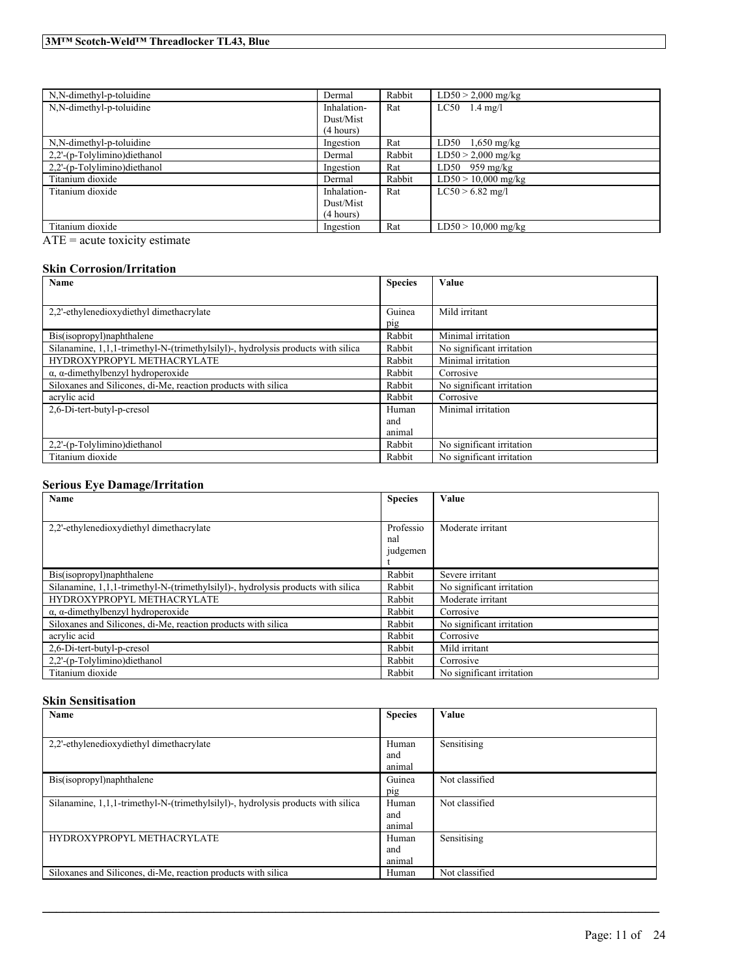| N,N-dimethyl-p-toluidine     | Dermal      | Rabbit | $LD50 > 2,000$ mg/kg  |
|------------------------------|-------------|--------|-----------------------|
| N,N-dimethyl-p-toluidine     | Inhalation- | Rat    | $LC50$ 1.4 mg/l       |
|                              | Dust/Mist   |        |                       |
|                              | (4 hours)   |        |                       |
| N,N-dimethyl-p-toluidine     | Ingestion   | Rat    | LD50<br>$1,650$ mg/kg |
| 2,2'-(p-Tolylimino)diethanol | Dermal      | Rabbit | $LD50 > 2,000$ mg/kg  |
| 2,2'-(p-Tolylimino)diethanol | Ingestion   | Rat    | $LD50$ 959 mg/kg      |
| Titanium dioxide             | Dermal      | Rabbit | $LD50 > 10,000$ mg/kg |
| Titanium dioxide             | Inhalation- | Rat    | $LC50 > 6.82$ mg/l    |
|                              | Dust/Mist   |        |                       |
|                              | (4 hours)   |        |                       |
| Titanium dioxide             | Ingestion   | Rat    | $LD50 > 10,000$ mg/kg |

ATE = acute toxicity estimate

### **Skin Corrosion/Irritation**

| Name                                                                             | <b>Species</b> | Value                     |
|----------------------------------------------------------------------------------|----------------|---------------------------|
|                                                                                  |                |                           |
| 2.2'-ethylenedioxydiethyl dimethacrylate                                         | Guinea         | Mild irritant             |
|                                                                                  | pig            |                           |
| Bis(isopropyl)naphthalene                                                        | Rabbit         | Minimal irritation        |
| Silanamine, 1,1,1-trimethyl-N-(trimethylsilyl)-, hydrolysis products with silica | Rabbit         | No significant irritation |
| HYDROXYPROPYL METHACRYLATE                                                       | Rabbit         | Minimal irritation        |
| $\alpha$ , $\alpha$ -dimethylbenzyl hydroperoxide                                | Rabbit         | Corrosive                 |
| Siloxanes and Silicones, di-Me, reaction products with silica                    | Rabbit         | No significant irritation |
| acrylic acid                                                                     | Rabbit         | Corrosive                 |
| 2,6-Di-tert-butyl-p-cresol                                                       | Human          | Minimal irritation        |
|                                                                                  | and            |                           |
|                                                                                  | animal         |                           |
| 2,2'-(p-Tolylimino)diethanol                                                     | Rabbit         | No significant irritation |
| Titanium dioxide                                                                 | Rabbit         | No significant irritation |

### **Serious Eye Damage/Irritation**

| Name                                                                             | <b>Species</b>               | Value                     |
|----------------------------------------------------------------------------------|------------------------------|---------------------------|
|                                                                                  |                              |                           |
| 2.2'-ethylenedioxydiethyl dimethacrylate                                         | Professio<br>nal<br>judgemen | Moderate irritant         |
| Bis(isopropyl)naphthalene                                                        | Rabbit                       | Severe irritant           |
| Silanamine, 1,1,1-trimethyl-N-(trimethylsilyl)-, hydrolysis products with silica | Rabbit                       | No significant irritation |
| HYDROXYPROPYL METHACRYLATE                                                       | Rabbit                       | Moderate irritant         |
| $\alpha$ , $\alpha$ -dimethylbenzyl hydroperoxide                                | Rabbit                       | Corrosive                 |
| Siloxanes and Silicones, di-Me, reaction products with silica                    | Rabbit                       | No significant irritation |
| acrylic acid                                                                     | Rabbit                       | Corrosive                 |
| 2,6-Di-tert-butyl-p-cresol                                                       | Rabbit                       | Mild irritant             |
| 2.2'-(p-Tolylimino)diethanol                                                     | Rabbit                       | Corrosive                 |
| Titanium dioxide                                                                 | Rabbit                       | No significant irritation |

### **Skin Sensitisation**

| Name                                                                             | <b>Species</b> | Value          |
|----------------------------------------------------------------------------------|----------------|----------------|
|                                                                                  |                |                |
| 2,2'-ethylenedioxydiethyl dimethacrylate                                         | Human          | Sensitising    |
|                                                                                  | and            |                |
|                                                                                  | animal         |                |
| Bis(isopropyl)naphthalene                                                        | Guinea         | Not classified |
|                                                                                  | pig            |                |
| Silanamine, 1,1,1-trimethyl-N-(trimethylsilyl)-, hydrolysis products with silica | Human          | Not classified |
|                                                                                  | and            |                |
|                                                                                  | animal         |                |
| HYDROXYPROPYL METHACRYLATE                                                       | Human          | Sensitising    |
|                                                                                  | and            |                |
|                                                                                  | animal         |                |
| Siloxanes and Silicones, di-Me, reaction products with silica                    | Human          | Not classified |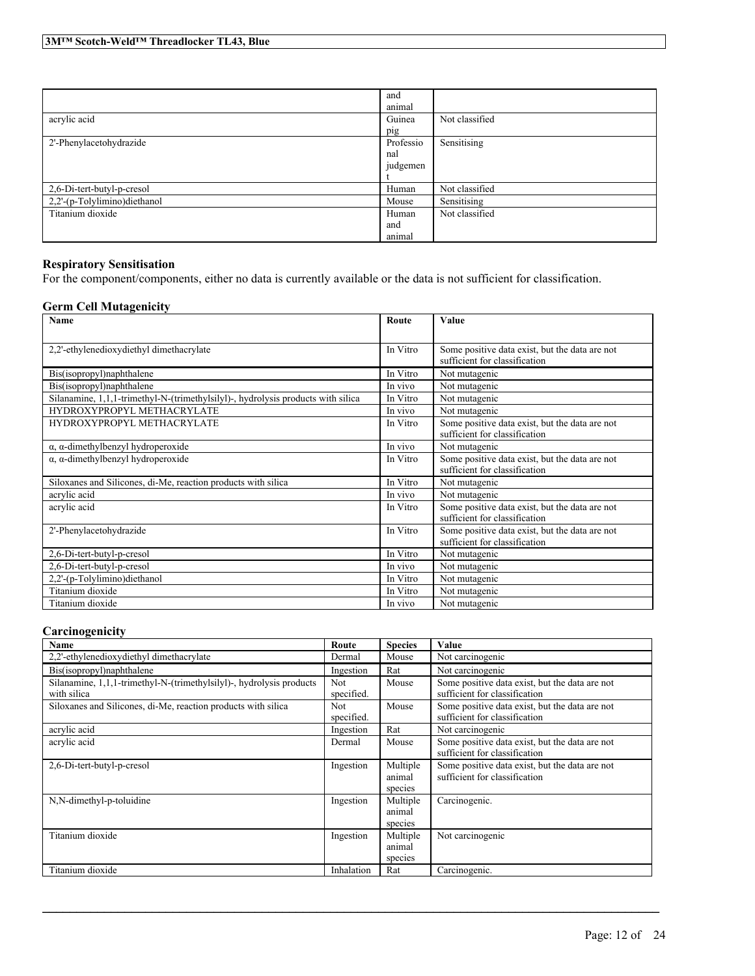|                              | and<br>animal |                |
|------------------------------|---------------|----------------|
| acrylic acid                 | Guinea        | Not classified |
|                              | pig           |                |
| 2'-Phenylacetohydrazide      | Professio     | Sensitising    |
|                              | nal           |                |
|                              | judgemen      |                |
|                              |               |                |
| 2,6-Di-tert-butyl-p-cresol   | Human         | Not classified |
| 2,2'-(p-Tolylimino)diethanol | Mouse         | Sensitising    |
| Titanium dioxide             | Human         | Not classified |
|                              | and           |                |
|                              | animal        |                |

### **Respiratory Sensitisation**

For the component/components, either no data is currently available or the data is not sufficient for classification.

### **Germ Cell Mutagenicity**

| Name                                                                             | Route    | Value                                          |
|----------------------------------------------------------------------------------|----------|------------------------------------------------|
|                                                                                  |          |                                                |
| 2,2'-ethylenedioxydiethyl dimethacrylate                                         | In Vitro | Some positive data exist, but the data are not |
|                                                                                  |          | sufficient for classification                  |
| Bis(isopropyl)naphthalene                                                        | In Vitro | Not mutagenic                                  |
| Bis(isopropyl)naphthalene                                                        | In vivo  | Not mutagenic                                  |
| Silanamine, 1,1,1-trimethyl-N-(trimethylsilyl)-, hydrolysis products with silica | In Vitro | Not mutagenic                                  |
| HYDROXYPROPYL METHACRYLATE                                                       | In vivo  | Not mutagenic                                  |
| HYDROXYPROPYL METHACRYLATE                                                       | In Vitro | Some positive data exist, but the data are not |
|                                                                                  |          | sufficient for classification                  |
| $\alpha$ , $\alpha$ -dimethylbenzyl hydroperoxide                                | In vivo  | Not mutagenic                                  |
| $\alpha$ , $\alpha$ -dimethylbenzyl hydroperoxide                                | In Vitro | Some positive data exist, but the data are not |
|                                                                                  |          | sufficient for classification                  |
| Siloxanes and Silicones, di-Me, reaction products with silica                    | In Vitro | Not mutagenic                                  |
| acrylic acid                                                                     | In vivo  | Not mutagenic                                  |
| acrylic acid                                                                     | In Vitro | Some positive data exist, but the data are not |
|                                                                                  |          | sufficient for classification                  |
| 2'-Phenylacetohydrazide                                                          | In Vitro | Some positive data exist, but the data are not |
|                                                                                  |          | sufficient for classification                  |
| 2,6-Di-tert-butyl-p-cresol                                                       | In Vitro | Not mutagenic                                  |
| 2,6-Di-tert-butyl-p-cresol                                                       | In vivo  | Not mutagenic                                  |
| 2,2'-(p-Tolylimino)diethanol                                                     | In Vitro | Not mutagenic                                  |
| Titanium dioxide                                                                 | In Vitro | Not mutagenic                                  |
| Titanium dioxide                                                                 | In vivo  | Not mutagenic                                  |

### **Carcinogenicity**

| Name                                                                 | Route      | <b>Species</b> | Value                                          |
|----------------------------------------------------------------------|------------|----------------|------------------------------------------------|
| 2,2'-ethylenedioxydiethyl dimethacrylate                             | Dermal     | Mouse          | Not carcinogenic                               |
| Bis(isopropyl)naphthalene                                            | Ingestion  | Rat            | Not carcinogenic                               |
| Silanamine, 1,1,1-trimethyl-N-(trimethylsilyl)-, hydrolysis products | <b>Not</b> | Mouse          | Some positive data exist, but the data are not |
| with silica                                                          | specified. |                | sufficient for classification                  |
| Siloxanes and Silicones, di-Me, reaction products with silica        | <b>Not</b> | Mouse          | Some positive data exist, but the data are not |
|                                                                      | specified. |                | sufficient for classification                  |
| acrylic acid                                                         | Ingestion  | Rat            | Not carcinogenic                               |
| acrylic acid                                                         | Dermal     | Mouse          | Some positive data exist, but the data are not |
|                                                                      |            |                | sufficient for classification                  |
| 2,6-Di-tert-butyl-p-cresol                                           | Ingestion  | Multiple       | Some positive data exist, but the data are not |
|                                                                      |            | animal         | sufficient for classification                  |
|                                                                      |            | species        |                                                |
| N,N-dimethyl-p-toluidine                                             | Ingestion  | Multiple       | Carcinogenic.                                  |
|                                                                      |            | animal         |                                                |
|                                                                      |            | species        |                                                |
| Titanium dioxide                                                     | Ingestion  | Multiple       | Not carcinogenic                               |
|                                                                      |            | animal         |                                                |
|                                                                      |            | species        |                                                |
| Titanium dioxide                                                     | Inhalation | Rat            | Carcinogenic.                                  |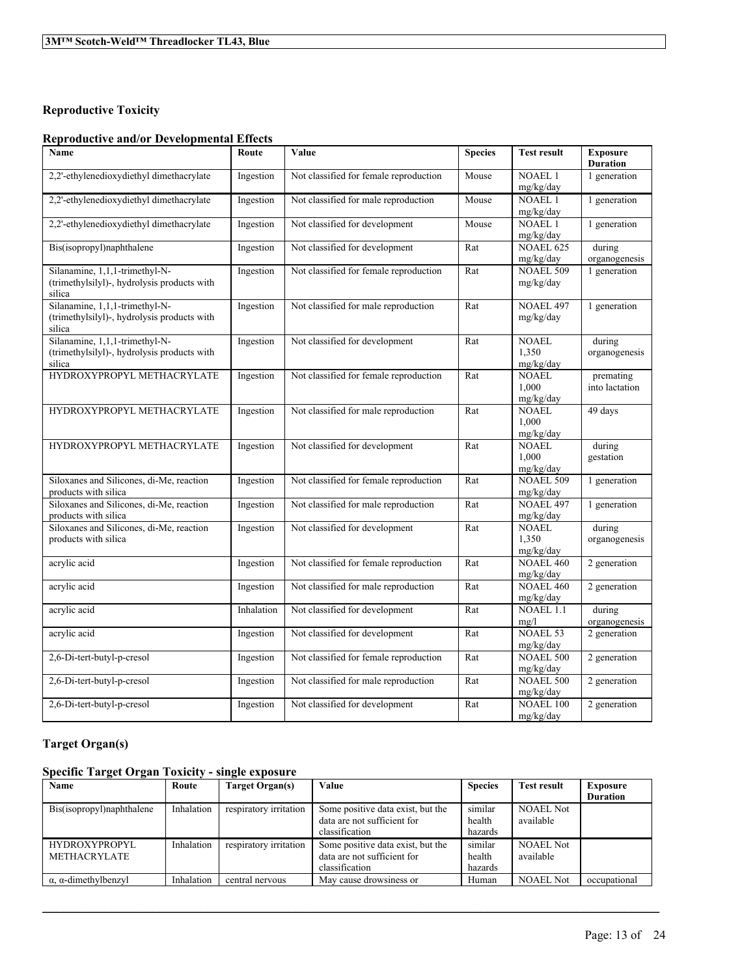# **Reproductive Toxicity**

### **Reproductive and/or Developmental Effects**

| Name                                                                          | Route      | Value                                  | <b>Species</b> | <b>Test result</b>            | <b>Exposure</b><br><b>Duration</b> |
|-------------------------------------------------------------------------------|------------|----------------------------------------|----------------|-------------------------------|------------------------------------|
| 2,2'-ethylenedioxydiethyl dimethacrylate                                      | Ingestion  | Not classified for female reproduction | Mouse          | <b>NOAEL1</b>                 | 1 generation                       |
|                                                                               |            |                                        |                | mg/kg/day                     |                                    |
| 2,2'-ethylenedioxydiethyl dimethacrylate                                      | Ingestion  | Not classified for male reproduction   | Mouse          | <b>NOAEL1</b>                 | 1 generation                       |
|                                                                               |            |                                        |                | mg/kg/day<br><b>NOAEL1</b>    |                                    |
| 2,2'-ethylenedioxydiethyl dimethacrylate                                      | Ingestion  | Not classified for development         | Mouse          | mg/kg/day                     | 1 generation                       |
| Bis(isopropyl)naphthalene                                                     | Ingestion  | Not classified for development         | Rat            | <b>NOAEL 625</b>              | during                             |
|                                                                               |            |                                        |                | mg/kg/day                     | organogenesis                      |
| Silanamine, 1,1,1-trimethyl-N-<br>(trimethylsilyl)-, hydrolysis products with | Ingestion  | Not classified for female reproduction | Rat            | <b>NOAEL 509</b>              | 1 generation                       |
| silica                                                                        |            |                                        |                | mg/kg/day                     |                                    |
| Silanamine, 1,1,1-trimethyl-N-                                                | Ingestion  | Not classified for male reproduction   | Rat            | <b>NOAEL 497</b>              | 1 generation                       |
| (trimethylsilyl)-, hydrolysis products with                                   |            |                                        |                | mg/kg/day                     |                                    |
| silica                                                                        |            |                                        |                |                               |                                    |
| Silanamine, 1,1,1-trimethyl-N-<br>(trimethylsilyl)-, hydrolysis products with | Ingestion  | Not classified for development         | Rat            | <b>NOAEL</b><br>1,350         | during                             |
| silica                                                                        |            |                                        |                | mg/kg/day                     | organogenesis                      |
| HYDROXYPROPYL METHACRYLATE                                                    | Ingestion  | Not classified for female reproduction | Rat            | <b>NOAEL</b>                  | premating                          |
|                                                                               |            |                                        |                | 1,000                         | into lactation                     |
|                                                                               |            |                                        |                | mg/kg/day                     |                                    |
| HYDROXYPROPYL METHACRYLATE                                                    | Ingestion  | Not classified for male reproduction   | Rat            | <b>NOAEL</b>                  | 49 days                            |
|                                                                               |            |                                        |                | 1,000<br>mg/kg/day            |                                    |
| HYDROXYPROPYL METHACRYLATE                                                    | Ingestion  | Not classified for development         | Rat            | <b>NOAEL</b>                  | during                             |
|                                                                               |            |                                        |                | 1,000                         | gestation                          |
|                                                                               |            |                                        |                | mg/kg/day                     |                                    |
| Siloxanes and Silicones, di-Me, reaction                                      | Ingestion  | Not classified for female reproduction | Rat            | <b>NOAEL 509</b>              | 1 generation                       |
| products with silica<br>Siloxanes and Silicones, di-Me, reaction              |            | Not classified for male reproduction   |                | mg/kg/day<br><b>NOAEL 497</b> |                                    |
| products with silica                                                          | Ingestion  |                                        | Rat            | mg/kg/day                     | 1 generation                       |
| Siloxanes and Silicones, di-Me, reaction                                      | Ingestion  | Not classified for development         | Rat            | <b>NOAEL</b>                  | during                             |
| products with silica                                                          |            |                                        |                | 1,350                         | organogenesis                      |
|                                                                               |            |                                        |                | mg/kg/day                     |                                    |
| acrylic acid                                                                  | Ingestion  | Not classified for female reproduction | Rat            | <b>NOAEL 460</b>              | 2 generation                       |
| acrylic acid                                                                  | Ingestion  | Not classified for male reproduction   | Rat            | mg/kg/day<br><b>NOAEL 460</b> | 2 generation                       |
|                                                                               |            |                                        |                | mg/kg/day                     |                                    |
| acrylic acid                                                                  | Inhalation | Not classified for development         | Rat            | <b>NOAEL 1.1</b>              | during                             |
|                                                                               |            |                                        |                | mg/l                          | organogenesis                      |
| acrylic acid                                                                  | Ingestion  | Not classified for development         | Rat            | <b>NOAEL 53</b>               | 2 generation                       |
| 2,6-Di-tert-butyl-p-cresol                                                    | Ingestion  | Not classified for female reproduction | Rat            | mg/kg/day<br><b>NOAEL 500</b> | 2 generation                       |
|                                                                               |            |                                        |                | mg/kg/day                     |                                    |
| 2,6-Di-tert-butyl-p-cresol                                                    | Ingestion  | Not classified for male reproduction   | Rat            | <b>NOAEL 500</b>              | 2 generation                       |
|                                                                               |            |                                        |                | mg/kg/day                     |                                    |
| 2,6-Di-tert-butyl-p-cresol                                                    | Ingestion  | Not classified for development         | Rat            | NOAEL 100                     | 2 generation                       |
|                                                                               |            |                                        |                | mg/kg/day                     |                                    |

# **Target Organ(s)**

# **Specific Target Organ Toxicity - single exposure**

| Name                                | Route      | Target Organ(s)        | Value                             | <b>Species</b> | <b>Test result</b> | <b>Exposure</b> |
|-------------------------------------|------------|------------------------|-----------------------------------|----------------|--------------------|-----------------|
|                                     |            |                        |                                   |                |                    | <b>Duration</b> |
| Bis(isopropyl)naphthalene           | Inhalation | respiratory irritation | Some positive data exist, but the | similar        | <b>NOAEL Not</b>   |                 |
|                                     |            |                        | data are not sufficient for       | health         | available          |                 |
|                                     |            |                        | classification                    | hazards        |                    |                 |
| <b>HYDROXYPROPYL</b>                | Inhalation | respiratory irritation | Some positive data exist, but the | similar        | <b>NOAEL Not</b>   |                 |
| METHACRYLATE                        |            |                        | data are not sufficient for       | health         | available          |                 |
|                                     |            |                        | classification                    | hazards        |                    |                 |
| $\alpha$ , $\alpha$ -dimethylbenzyl | Inhalation | central nervous        | May cause drowsiness or           | Human          | <b>NOAEL Not</b>   | occupational    |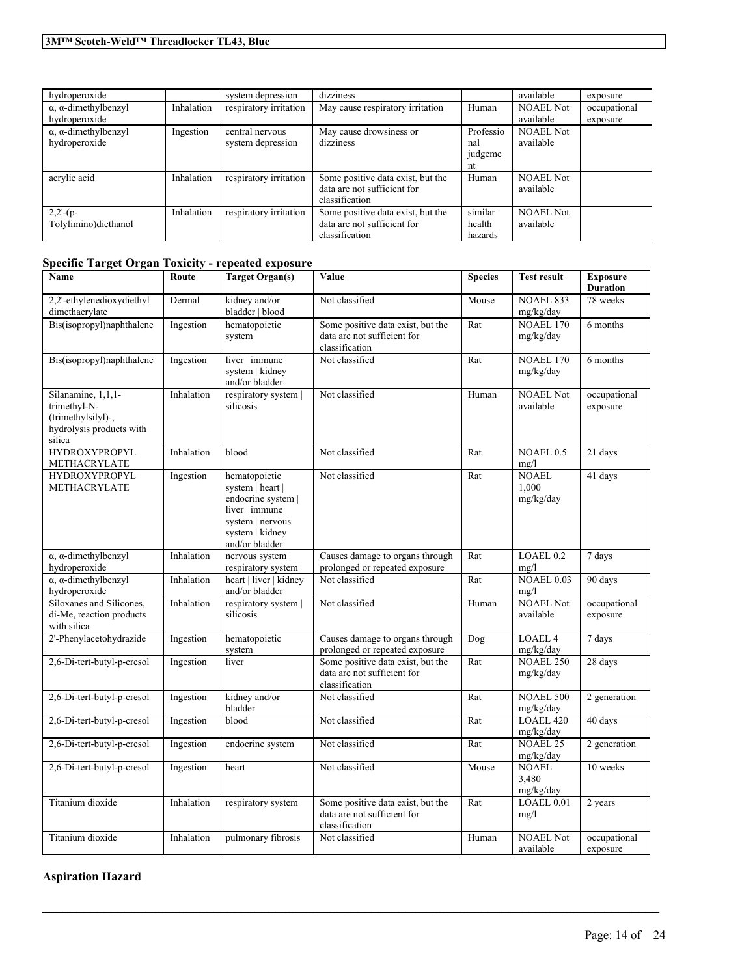| hydroperoxide                       |            | system depression      | dizziness                         |           | available        | exposure     |
|-------------------------------------|------------|------------------------|-----------------------------------|-----------|------------------|--------------|
| $\alpha$ , $\alpha$ -dimethylbenzyl | Inhalation | respiratory irritation | May cause respiratory irritation  | Human     | <b>NOAEL Not</b> | occupational |
| hydroperoxide                       |            |                        |                                   |           | available        | exposure     |
| $\alpha$ , $\alpha$ -dimethylbenzyl | Ingestion  | central nervous        | May cause drowsiness or           | Professio | <b>NOAEL Not</b> |              |
| hydroperoxide                       |            | system depression      | dizziness                         | nal       | available        |              |
|                                     |            |                        |                                   | judgeme   |                  |              |
|                                     |            |                        |                                   | nt        |                  |              |
| acrylic acid                        | Inhalation | respiratory irritation | Some positive data exist, but the | Human     | <b>NOAEL Not</b> |              |
|                                     |            |                        | data are not sufficient for       |           | available        |              |
|                                     |            |                        | classification                    |           |                  |              |
| $2,2-(p-$                           | Inhalation | respiratory irritation | Some positive data exist, but the | similar   | <b>NOAEL Not</b> |              |
| Tolylimino)diethanol                |            |                        | data are not sufficient for       | health    | available        |              |
|                                     |            |                        | classification                    | hazards   |                  |              |

# **Specific Target Organ Toxicity - repeated exposure**

| Name                                                                                           | Route      | Target Organ(s)                                                                                                                    | Value                                                                              | <b>Species</b> | <b>Test result</b>                 | <b>Exposure</b><br><b>Duration</b> |
|------------------------------------------------------------------------------------------------|------------|------------------------------------------------------------------------------------------------------------------------------------|------------------------------------------------------------------------------------|----------------|------------------------------------|------------------------------------|
| 2,2'-ethylenedioxydiethyl<br>dimethacrylate                                                    | Dermal     | kidney and/or<br>bladder   blood                                                                                                   | Not classified                                                                     | Mouse          | <b>NOAEL 833</b><br>mg/kg/day      | 78 weeks                           |
| Bis(isopropyl)naphthalene                                                                      | Ingestion  | hematopoietic<br>system                                                                                                            | Some positive data exist, but the<br>data are not sufficient for<br>classification | Rat            | <b>NOAEL 170</b><br>mg/kg/day      | 6 months                           |
| Bis(isopropyl)naphthalene                                                                      | Ingestion  | liver   immune<br>system   kidney<br>and/or bladder                                                                                | Not classified                                                                     | Rat            | <b>NOAEL 170</b><br>mg/kg/day      | 6 months                           |
| Silanamine, 1,1,1-<br>trimethyl-N-<br>(trimethylsilyl)-,<br>hydrolysis products with<br>silica | Inhalation | respiratory system  <br>silicosis                                                                                                  | Not classified                                                                     | Human          | <b>NOAEL Not</b><br>available      | occupational<br>exposure           |
| <b>HYDROXYPROPYL</b><br>METHACRYLATE                                                           | Inhalation | blood                                                                                                                              | Not classified                                                                     | Rat            | NOAEL 0.5<br>mg/l                  | 21 days                            |
| <b>HYDROXYPROPYL</b><br><b>METHACRYLATE</b>                                                    | Ingestion  | hematopoietic<br>system   heart  <br>endocrine system  <br>liver   immune<br>system   nervous<br>system   kidney<br>and/or bladder | Not classified                                                                     | Rat            | <b>NOAEL</b><br>1.000<br>mg/kg/day | 41 days                            |
| $\alpha$ , $\alpha$ -dimethylbenzyl<br>hydroperoxide                                           | Inhalation | nervous system  <br>respiratory system                                                                                             | Causes damage to organs through<br>prolonged or repeated exposure                  | Rat            | LOAEL <sub>0.2</sub><br>mg/l       | 7 days                             |
| $\alpha$ , $\alpha$ -dimethylbenzyl<br>hydroperoxide                                           | Inhalation | heart   liver   kidney<br>and/or bladder                                                                                           | Not classified                                                                     | Rat            | <b>NOAEL 0.03</b><br>mg/l          | 90 days                            |
| Siloxanes and Silicones,<br>di-Me, reaction products<br>with silica                            | Inhalation | respiratory system  <br>silicosis                                                                                                  | Not classified                                                                     | Human          | <b>NOAEL Not</b><br>available      | occupational<br>exposure           |
| 2'-Phenylacetohydrazide                                                                        | Ingestion  | hematopoietic<br>system                                                                                                            | Causes damage to organs through<br>prolonged or repeated exposure                  | Dog            | <b>LOAEL 4</b><br>mg/kg/day        | 7 days                             |
| 2,6-Di-tert-butyl-p-cresol                                                                     | Ingestion  | liver                                                                                                                              | Some positive data exist, but the<br>data are not sufficient for<br>classification | Rat            | <b>NOAEL 250</b><br>mg/kg/day      | 28 days                            |
| 2,6-Di-tert-butyl-p-cresol                                                                     | Ingestion  | kidney and/or<br>bladder                                                                                                           | Not classified                                                                     | Rat            | <b>NOAEL 500</b><br>mg/kg/day      | 2 generation                       |
| 2,6-Di-tert-butyl-p-cresol                                                                     | Ingestion  | blood                                                                                                                              | Not classified                                                                     | Rat            | <b>LOAEL 420</b><br>mg/kg/day      | 40 days                            |
| 2,6-Di-tert-butyl-p-cresol                                                                     | Ingestion  | endocrine system                                                                                                                   | Not classified                                                                     | Rat            | <b>NOAEL 25</b><br>mg/kg/day       | 2 generation                       |
| 2,6-Di-tert-butyl-p-cresol                                                                     | Ingestion  | heart                                                                                                                              | Not classified                                                                     | Mouse          | <b>NOAEL</b><br>3,480<br>mg/kg/day | 10 weeks                           |
| Titanium dioxide                                                                               | Inhalation | respiratory system                                                                                                                 | Some positive data exist, but the<br>data are not sufficient for<br>classification | Rat            | LOAEL 0.01<br>mg/l                 | 2 years                            |
| Titanium dioxide                                                                               | Inhalation | pulmonary fibrosis                                                                                                                 | Not classified                                                                     | Human          | <b>NOAEL Not</b><br>available      | occupational<br>exposure           |

 $\mathcal{L}_\mathcal{L} = \mathcal{L}_\mathcal{L} = \mathcal{L}_\mathcal{L} = \mathcal{L}_\mathcal{L} = \mathcal{L}_\mathcal{L} = \mathcal{L}_\mathcal{L} = \mathcal{L}_\mathcal{L} = \mathcal{L}_\mathcal{L} = \mathcal{L}_\mathcal{L} = \mathcal{L}_\mathcal{L} = \mathcal{L}_\mathcal{L} = \mathcal{L}_\mathcal{L} = \mathcal{L}_\mathcal{L} = \mathcal{L}_\mathcal{L} = \mathcal{L}_\mathcal{L} = \mathcal{L}_\mathcal{L} = \mathcal{L}_\mathcal{L}$ 

# **Aspiration Hazard**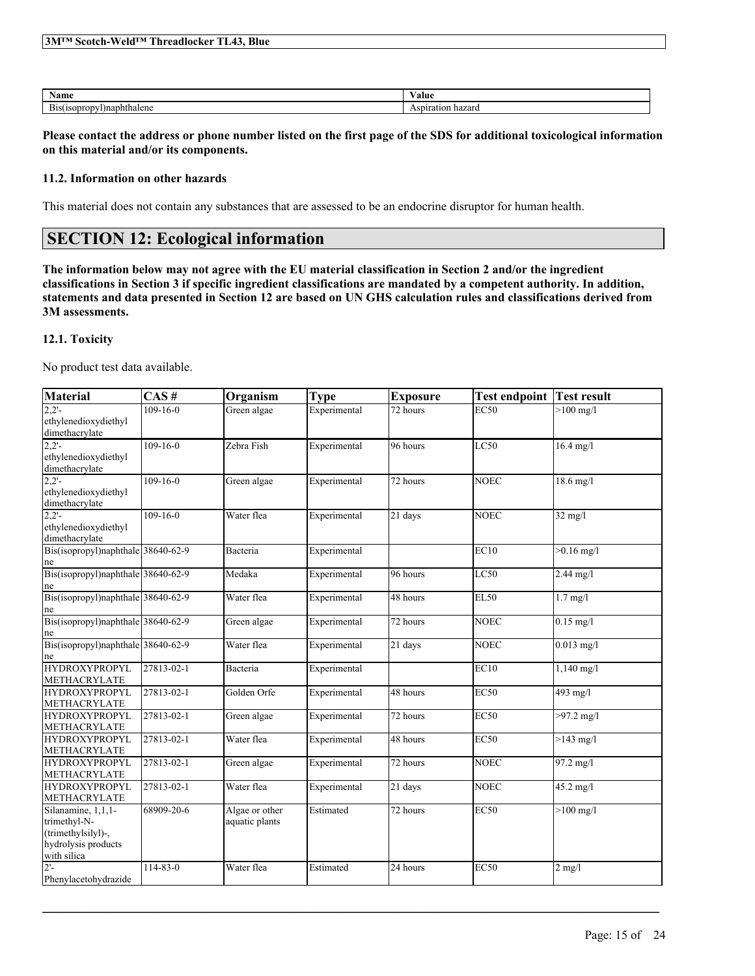| <b>Blue</b><br>13M<br>Scotch-<br>'eld<br>. hreadlocker<br>w |  |
|-------------------------------------------------------------|--|
|                                                             |  |

| $\mathbf{X}$<br>Name   | - -<br>⁄ alue |
|------------------------|---------------|
| T.<br><i>naphthale</i> |               |

Please contact the address or phone number listed on the first page of the SDS for additional toxicological information **on this material and/or its components.**

### **11.2. Information on other hazards**

This material does not contain any substances that are assessed to be an endocrine disruptor for human health.

# **SECTION 12: Ecological information**

The information below may not agree with the EU material classification in Section 2 and/or the ingredient classifications in Section 3 if specific ingredient classifications are mandated by a competent authority. In addition, statements and data presented in Section 12 are based on UN GHS calculation rules and classifications derived from **3M assessments.**

### **12.1. Toxicity**

No product test data available.

| Material                                                                                       | CAS#           | Organism                         | <b>Type</b>  | <b>Exposure</b> | <b>Test endpoint</b> | <b>Test result</b>     |
|------------------------------------------------------------------------------------------------|----------------|----------------------------------|--------------|-----------------|----------------------|------------------------|
| 2.2'<br>ethylenedioxydiethyl<br>dimethacrylate                                                 | $109 - 16 - 0$ | Green algae                      | Experimental | $72$ hours      | EC50                 | $>100$ mg/l            |
| $2,2'$ -<br>ethylenedioxydiethyl<br>dimethacrylate                                             | $109 - 16 - 0$ | Zebra Fish                       | Experimental | 96 hours        | LC50                 | $16.4 \text{ mg}/1$    |
| $2,2'$ -<br>ethylenedioxydiethyl<br>dimethacrylate                                             | $109 - 16 - 0$ | Green algae                      | Experimental | 72 hours        | <b>NOEC</b>          | $18.6$ mg/l            |
| 2.2'<br>ethylenedioxydiethyl<br>dimethacrylate                                                 | $109 - 16 - 0$ | Water flea                       | Experimental | 21 days         | <b>NOEC</b>          | $32 \text{ mg/l}$      |
| Bis(isopropyl)naphthale 38640-62-9<br>ne                                                       |                | Bacteria                         | Experimental |                 | EC10                 | $>0.16$ mg/l           |
| Bis(isopropyl)naphthale 38640-62-9<br>ne                                                       |                | Medaka                           | Experimental | 96 hours        | LC50                 | $2.44$ mg/l            |
| Bis(isopropyl)naphthale 38640-62-9<br>ne                                                       |                | Water flea                       | Experimental | 48 hours        | <b>EL50</b>          | $1.7$ mg/l             |
| Bis(isopropyl)naphthale 38640-62-9<br>ne                                                       |                | Green algae                      | Experimental | 72 hours        | <b>NOEC</b>          | $0.15$ mg/l            |
| Bis(isopropyl)naphthale 38640-62-9<br>ne                                                       |                | Water flea                       | Experimental | 21 days         | <b>NOEC</b>          | $0.013$ mg/l           |
| <b>HYDROXYPROPYL</b><br><b>METHACRYLATE</b>                                                    | 27813-02-1     | Bacteria                         | Experimental |                 | EC10                 | $1,140$ mg/l           |
| <b>HYDROXYPROPYL</b><br><b>METHACRYLATE</b>                                                    | 27813-02-1     | Golden Orfe                      | Experimental | 48 hours        | EC50                 | 493 mg/l               |
| <b>HYDROXYPROPYL</b><br>METHACRYLATE                                                           | 27813-02-1     | Green algae                      | Experimental | 72 hours        | <b>EC50</b>          | $>97.2$ mg/l           |
| <b>HYDROXYPROPYL</b><br><b>METHACRYLATE</b>                                                    | 27813-02-1     | Water flea                       | Experimental | 48 hours        | <b>EC50</b>          | $>143$ mg/l            |
| <b>HYDROXYPROPYL</b><br><b>METHACRYLATE</b>                                                    | 27813-02-1     | Green algae                      | Experimental | 72 hours        | <b>NOEC</b>          | $\overline{97.2}$ mg/l |
| <b>HYDROXYPROPYL</b><br><b>METHACRYLATE</b>                                                    | 27813-02-1     | Water flea                       | Experimental | 21 days         | NOEC                 | 45.2 mg/l              |
| Silanamine, 1,1,1-<br>trimethyl-N-<br>(trimethylsilyl)-,<br>hydrolysis products<br>with silica | 68909-20-6     | Algae or other<br>aquatic plants | Estimated    | 72 hours        | EC50                 | $>100$ mg/l            |
| $2! -$<br>Phenylacetohydrazide                                                                 | $114 - 83 - 0$ | Water flea                       | Estimated    | 24 hours        | <b>EC50</b>          | $2$ mg/l               |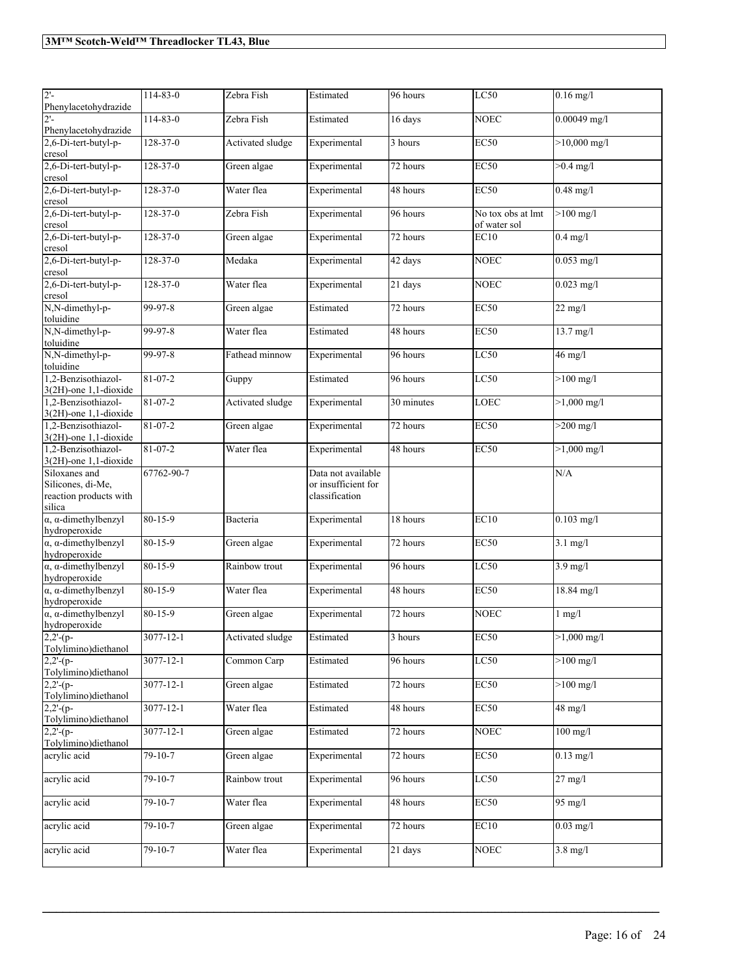| $2'$ -<br>Phenylacetohydrazide<br>2'-                                  | 114-83-0        | Zebra Fish       | Estimated                                                   | 96 hours              | LC50                              | $0.16$ mg/l    |
|------------------------------------------------------------------------|-----------------|------------------|-------------------------------------------------------------|-----------------------|-----------------------------------|----------------|
| Phenylacetohydrazide                                                   | 114-83-0        | Zebra Fish       | Estimated                                                   | 16 days               | <b>NOEC</b>                       | $0.00049$ mg/l |
| 2,6-Di-tert-butyl-p-<br>cresol                                         | $128 - 37 - 0$  | Activated sludge | Experimental                                                | 3 hours               | EC50                              | $>10,000$ mg/l |
| 2,6-Di-tert-butyl-p-<br>cresol                                         | $128 - 37 - 0$  | Green algae      | Experimental                                                | 72 hours              | EC50                              | $>0.4$ mg/l    |
| 2,6-Di-tert-butyl-p-<br>cresol                                         | $128 - 37 - 0$  | Water flea       | Experimental                                                | 48 hours              | <b>EC50</b>                       | $0.48$ mg/l    |
| 2,6-Di-tert-butyl-p-<br>cresol                                         | $128 - 37 - 0$  | Zebra Fish       | Experimental                                                | 96 hours              | No tox obs at lmt<br>of water sol | $>100$ mg/l    |
| 2,6-Di-tert-butyl-p-<br>cresol                                         | $128 - 37 - 0$  | Green algae      | Experimental                                                | 72 hours              | EC10                              | $0.4$ mg/l     |
| 2,6-Di-tert-butyl-p-<br>cresol                                         | $128 - 37 - 0$  | Medaka           | Experimental                                                | 42 days               | <b>NOEC</b>                       | $0.053$ mg/l   |
| 2,6-Di-tert-butyl-p-<br>cresol                                         | $128 - 37 - 0$  | Water flea       | Experimental                                                | 21 days               | <b>NOEC</b>                       | $0.023$ mg/l   |
| N,N-dimethyl-p-<br>toluidine                                           | 99-97-8         | Green algae      | Estimated                                                   | 72 hours              | <b>EC50</b>                       | $22$ mg/l      |
| N,N-dimethyl-p-<br>toluidine                                           | 99-97-8         | Water flea       | Estimated                                                   | 48 hours              | <b>EC50</b>                       | 13.7 mg/l      |
| N,N-dimethyl-p-<br>toluidine                                           | 99-97-8         | Fathead minnow   | Experimental                                                | 96 hours              | LC50                              | $46$ mg/l      |
| 1,2-Benzisothiazol-<br>3(2H)-one 1,1-dioxide                           | $81 - 07 - 2$   | Guppy            | Estimated                                                   | 96 hours              | LC50                              | $>100$ mg/l    |
| 1,2-Benzisothiazol-<br>3(2H)-one 1,1-dioxide                           | 81-07-2         | Activated sludge | Experimental                                                | 30 minutes            | LOEC                              | $>1,000$ mg/l  |
| 1,2-Benzisothiazol-<br>3(2H)-one 1,1-dioxide                           | 81-07-2         | Green algae      | Experimental                                                | 72 hours              | <b>EC50</b>                       | $>200$ mg/l    |
| 1,2-Benzisothiazol-<br>3(2H)-one 1,1-dioxide                           | 81-07-2         | Water flea       | Experimental                                                | 48 hours              | <b>EC50</b>                       | $>1,000$ mg/l  |
| Siloxanes and<br>Silicones, di-Me,<br>reaction products with<br>silica | 67762-90-7      |                  | Data not available<br>or insufficient for<br>classification |                       |                                   | N/A            |
| $\alpha$ , $\alpha$ -dimethylbenzyl<br>hydroperoxide                   | 80-15-9         | Bacteria         | Experimental                                                | 18 hours              | EC10                              | $0.103$ mg/l   |
| $\alpha$ , $\alpha$ -dimethylbenzyl<br>hydroperoxide                   | $80 - 15 - 9$   | Green algae      | Experimental                                                | 72 hours              | EC50                              | $3.1$ mg/l     |
| $\alpha$ , $\alpha$ -dimethylbenzyl<br>hydroperoxide                   | 80-15-9         | Rainbow trout    | Experimental                                                | 96 hours              | LC50                              | $3.9$ mg/l     |
| $\alpha$ , $\alpha$ -dimethylbenzyl<br>hydroperoxide                   | 80-15-9         | Water flea       | Experimental                                                | 48 hours              | <b>EC50</b>                       | $18.84$ mg/l   |
| $\alpha$ , $\alpha$ -dimethylbenzyl                                    | $80 - 15 - 9$   | Green algae      | Experimental                                                | $\overline{72}$ hours | <b>NOEC</b>                       | $1$ mg/ $1$    |
| $hydroperoxide$<br>2,2'-(p-<br>Tolylimino)diethanol                    | $3077 - 12 - 1$ | Activated sludge | Estimated                                                   | 3 hours               | EC50                              | $>1,000$ mg/l  |
| $2,2-(p-$<br>Tolylimino)diethanol                                      | 3077-12-1       | Common Carp      | Estimated                                                   | 96 hours              | LC50                              | $>100$ mg/l    |
| $2,2-(p-$<br>Tolylimino)diethanol                                      | 3077-12-1       | Green algae      | Estimated                                                   | 72 hours              | <b>EC50</b>                       | $>100$ mg/l    |
| $2,2'$ -(p-<br>Tolylimino)diethanol                                    | 3077-12-1       | Water flea       | Estimated                                                   | 48 hours              | <b>EC50</b>                       | $48$ mg/l      |
| $2,2-(p-$<br>Tolylimino)diethanol                                      | 3077-12-1       | Green algae      | Estimated                                                   | 72 hours              | <b>NOEC</b>                       | $100$ mg/l     |
| acrylic acid                                                           | $79 - 10 - 7$   | Green algae      | Experimental                                                | 72 hours              | EC50                              | $0.13$ mg/l    |
| acrylic acid                                                           | $79 - 10 - 7$   | Rainbow trout    | Experimental                                                | 96 hours              | LC50                              | $27$ mg/l      |
| acrylic acid                                                           | $79 - 10 - 7$   | Water flea       | Experimental                                                | 48 hours              | EC50                              | 95 mg/l        |
| acrylic acid                                                           | 79-10-7         | Green algae      | Experimental                                                | 72 hours              | EC10                              | $0.03$ mg/l    |
| acrylic acid                                                           | $79 - 10 - 7$   | Water flea       | Experimental                                                | 21 days               | <b>NOEC</b>                       | $3.8$ mg/l     |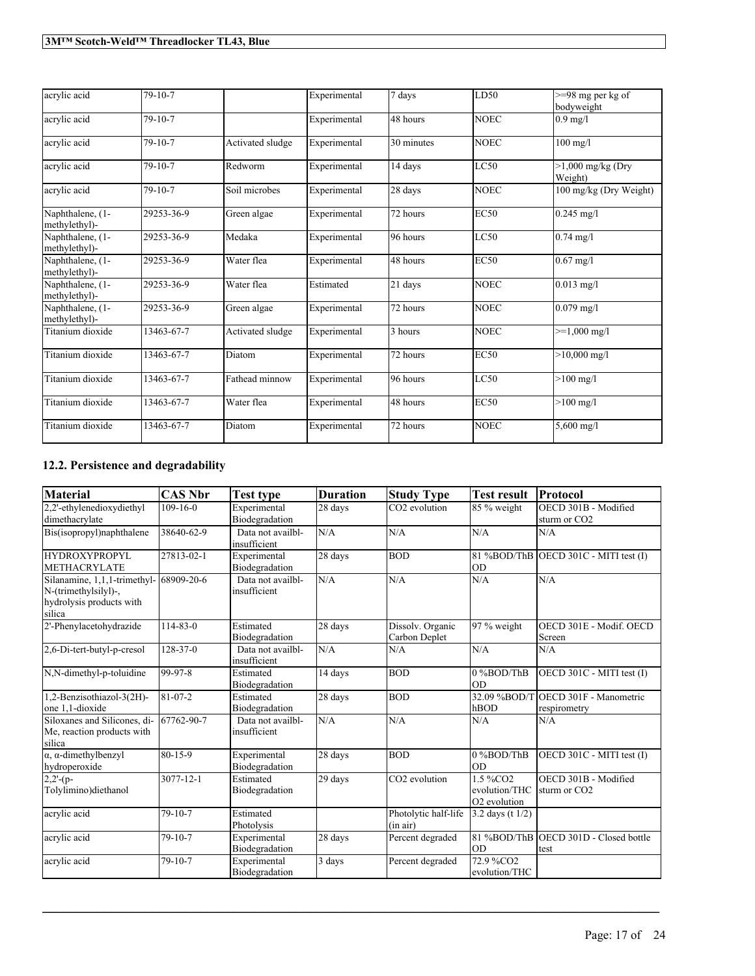| acrylic acid                      | $79 - 10 - 7$ |                  | Experimental | 7 days     | LD50        | $>=98$ mg per kg of<br>bodyweight |
|-----------------------------------|---------------|------------------|--------------|------------|-------------|-----------------------------------|
| acrylic acid                      | $79 - 10 - 7$ |                  | Experimental | 48 hours   | <b>NOEC</b> | $0.9$ mg/l                        |
| acrylic acid                      | $79 - 10 - 7$ | Activated sludge | Experimental | 30 minutes | <b>NOEC</b> | $100$ mg/l                        |
| acrylic acid                      | $79 - 10 - 7$ | Redworm          | Experimental | 14 days    | LC50        | $>1,000$ mg/kg (Dry<br>Weight)    |
| acrylic acid                      | $79 - 10 - 7$ | Soil microbes    | Experimental | 28 days    | <b>NOEC</b> | 100 mg/kg (Dry Weight)            |
| Naphthalene, (1-<br>methylethyl)- | 29253-36-9    | Green algae      | Experimental | 72 hours   | <b>EC50</b> | $0.245$ mg/l                      |
| Naphthalene, (1-<br>methylethyl)- | 29253-36-9    | Medaka           | Experimental | 96 hours   | LC50        | $0.74$ mg/l                       |
| Naphthalene, (1-<br>methylethyl)- | 29253-36-9    | Water flea       | Experimental | 48 hours   | <b>EC50</b> | $0.67$ mg/l                       |
| Naphthalene, (1-<br>methylethyl)- | 29253-36-9    | Water flea       | Estimated    | 21 days    | <b>NOEC</b> | $0.013$ mg/l                      |
| Naphthalene, (1-<br>methylethyl)- | 29253-36-9    | Green algae      | Experimental | 72 hours   | <b>NOEC</b> | $0.079$ mg/l                      |
| Titanium dioxide                  | 13463-67-7    | Activated sludge | Experimental | 3 hours    | <b>NOEC</b> | $>=1,000 \text{ mg/l}$            |
| Titanium dioxide                  | 13463-67-7    | Diatom           | Experimental | 72 hours   | <b>EC50</b> | $>10,000$ mg/l                    |
| Titanium dioxide                  | 13463-67-7    | Fathead minnow   | Experimental | 96 hours   | LC50        | $>100 \text{ mg/l}$               |
| Titanium dioxide                  | 13463-67-7    | Water flea       | Experimental | 48 hours   | <b>EC50</b> | $>100 \text{ mg/l}$               |
| Titanium dioxide                  | 13463-67-7    | Diatom           | Experimental | 72 hours   | <b>NOEC</b> | $5,600$ mg/l                      |

# **12.2. Persistence and degradability**

| <b>Material</b>                                                                                       | <b>CAS Nbr</b> | Test type                         | <b>Duration</b>     | <b>Study Type</b>                 | <b>Test result</b>                                    | Protocol                                            |
|-------------------------------------------------------------------------------------------------------|----------------|-----------------------------------|---------------------|-----------------------------------|-------------------------------------------------------|-----------------------------------------------------|
| 2.2'-ethylenedioxydiethyl<br>dimethacrylate                                                           | $109 - 16 - 0$ | Experimental<br>Biodegradation    | 28 days             | CO <sub>2</sub> evolution         | 85 % weight                                           | OECD 301B - Modified<br>sturm or CO2                |
| Bis(isopropyl)naphthalene                                                                             | 38640-62-9     | Data not availbl-<br>insufficient | N/A                 | N/A                               | N/A                                                   | N/A                                                 |
| <b>HYDROXYPROPYL</b><br><b>METHACRYLATE</b>                                                           | 27813-02-1     | Experimental<br>Biodegradation    | 28 days             | <b>BOD</b>                        | <b>OD</b>                                             | $81\%BOD/ThB$ OECD 301C - MITI test (I)             |
| Silanamine, 1,1,1-trimethyl- 68909-20-6<br>N-(trimethylsilyl)-,<br>hydrolysis products with<br>silica |                | Data not availbl-<br>insufficient | N/A                 | N/A                               | N/A                                                   | N/A                                                 |
| 2'-Phenylacetohydrazide                                                                               | $114 - 83 - 0$ | Estimated<br>Biodegradation       | 28 days             | Dissolv. Organic<br>Carbon Deplet | $\sqrt{97}$ % weight                                  | OECD 301E - Modif. OECD<br>Screen                   |
| 2,6-Di-tert-butyl-p-cresol                                                                            | $128 - 37 - 0$ | Data not availbl-<br>insufficient | N/A                 | N/A                               | N/A                                                   | N/A                                                 |
| N,N-dimethyl-p-toluidine                                                                              | 99-97-8        | Estimated<br>Biodegradation       | 14 days             | <b>BOD</b>                        | 0%BOD/ThB<br>lod                                      | OECD 301C - MITI test (I)                           |
| 1,2-Benzisothiazol-3(2H)-<br>one 1.1-dioxide                                                          | $81 - 07 - 2$  | Estimated<br>Biodegradation       | 28 days             | <b>BOD</b>                        | hBOD                                                  | 32.09 %BOD/T OECD 301F - Manometric<br>respirometry |
| Siloxanes and Silicones, di-<br>Me, reaction products with<br>silica                                  | 67762-90-7     | Data not availbl-<br>insufficient | N/A                 | N/A                               | N/A                                                   | N/A                                                 |
| $\alpha$ , $\alpha$ -dimethylbenzyl<br>hydroperoxide                                                  | 80-15-9        | Experimental<br>Biodegradation    | 28 days             | <b>BOD</b>                        | 0%BOD/ThB<br><b>OD</b>                                | OECD 301C - MITI test (I)                           |
| $2,2'$ -(p-<br>Tolylimino)diethanol                                                                   | 3077-12-1      | Estimated<br>Biodegradation       | 29 days             | CO2 evolution                     | 1.5 %CO2<br>evolution/THC<br>O <sub>2</sub> evolution | OECD 301B - Modified<br>sturm or CO <sub>2</sub>    |
| acrylic acid                                                                                          | $79 - 10 - 7$  | Estimated<br>Photolysis           |                     | Photolytic half-life<br>(in air)  | $3.2$ days (t $1/2$ )                                 |                                                     |
| acrylic acid                                                                                          | 79-10-7        | Experimental<br>Biodegradation    | 28 days             | Percent degraded                  | <b>OD</b>                                             | 81 %BOD/ThB OECD 301D - Closed bottle<br>ltest      |
| acrylic acid                                                                                          | $79 - 10 - 7$  | Experimental<br>Biodegradation    | $\overline{3}$ days | Percent degraded                  | 72.9 %CO2<br>evolution/THC                            |                                                     |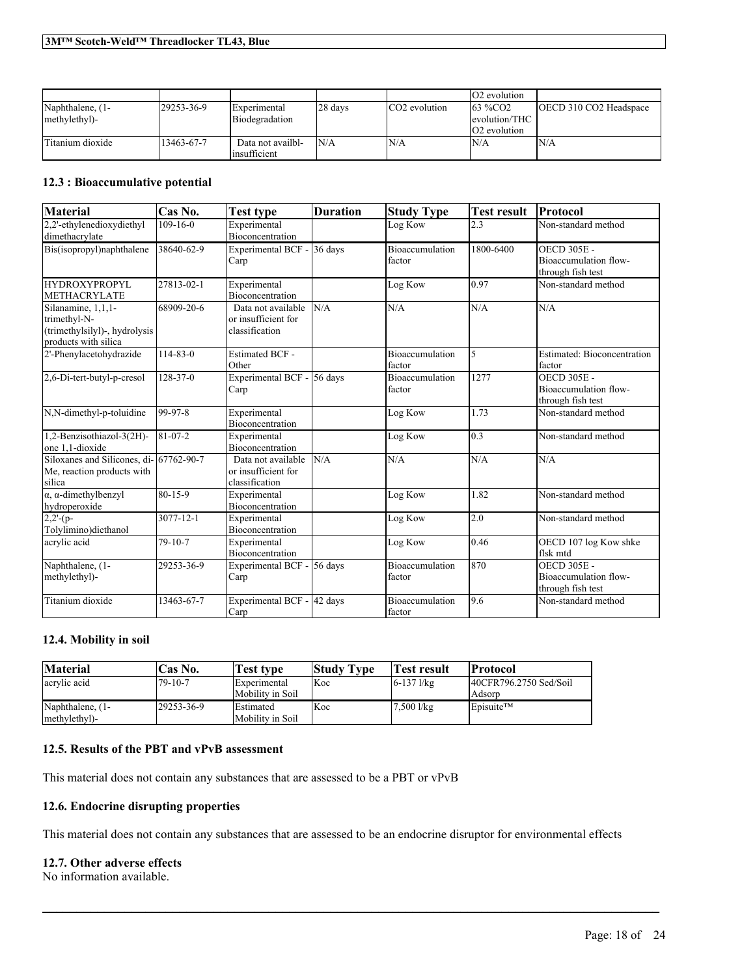|                  |            |                   |         |                           | <b>O2</b> evolution |                        |
|------------------|------------|-------------------|---------|---------------------------|---------------------|------------------------|
| Naphthalene, (1- | 29253-36-9 | Experimental      | 28 days | CO <sub>2</sub> evolution | $163\%CO2$          | OECD 310 CO2 Headspace |
| methylethyl)-    |            | Biodegradation    |         |                           | levolution/THC      |                        |
|                  |            |                   |         |                           | <b>O2</b> evolution |                        |
| Titanium dioxide | 13463-67-7 | Data not availbl- | N/A     | N/A                       | N/A                 | N/A                    |
|                  |            | linsufficient     |         |                           |                     |                        |

### **12.3 : Bioaccumulative potential**

| <b>Material</b>                                                                             | Cas No.        | <b>Test type</b>                                            | <b>Duration</b> | <b>Study Type</b>                | <b>Test result</b> | <b>Protocol</b>                                                  |
|---------------------------------------------------------------------------------------------|----------------|-------------------------------------------------------------|-----------------|----------------------------------|--------------------|------------------------------------------------------------------|
| 2.2'-ethylenedioxydiethyl<br>dimethacrylate                                                 | $109 - 16 - 0$ | Experimental<br><b>Bioconcentration</b>                     |                 | Log Kow                          | 2.3                | Non-standard method                                              |
| Bis(isopropyl)naphthalene                                                                   | 38640-62-9     | Experimental BCF -<br>Carp                                  | 36 days         | <b>Bioaccumulation</b><br>factor | 1800-6400          | <b>OECD 305E -</b><br>Bioaccumulation flow-<br>through fish test |
| HYDROXYPROPYL<br><b>METHACRYLATE</b>                                                        | 27813-02-1     | Experimental<br>Bioconcentration                            |                 | Log Kow                          | 0.97               | Non-standard method                                              |
| Silanamine, 1,1,1-<br>trimethyl-N-<br>(trimethylsilyl)-, hydrolysis<br>products with silica | 68909-20-6     | Data not available<br>or insufficient for<br>classification | N/A             | N/A                              | N/A                | N/A                                                              |
| 2'-Phenylacetohydrazide                                                                     | $114 - 83 - 0$ | <b>Estimated BCF -</b><br>Other                             |                 | <b>Bioaccumulation</b><br>factor | 5                  | Estimated: Bioconcentration<br>factor                            |
| 2,6-Di-tert-butyl-p-cresol                                                                  | $128 - 37 - 0$ | <b>Experimental BCF -</b><br>Carp                           | 56 days         | Bioaccumulation<br>factor        | 1277               | <b>OECD 305E -</b><br>Bioaccumulation flow-<br>through fish test |
| N,N-dimethyl-p-toluidine                                                                    | 99-97-8        | Experimental<br>Bioconcentration                            |                 | Log Kow                          | 1.73               | Non-standard method                                              |
| 1,2-Benzisothiazol-3(2H)-<br>one 1.1-dioxide                                                | 81-07-2        | Experimental<br><b>Bioconcentration</b>                     |                 | Log Kow                          | 0.3                | Non-standard method                                              |
| Siloxanes and Silicones, di- 67762-90-7<br>Me, reaction products with<br>silica             |                | Data not available<br>or insufficient for<br>classification | N/A             | N/A                              | N/A                | N/A                                                              |
| $\alpha$ , $\alpha$ -dimethylbenzyl<br>hydroperoxide                                        | 80-15-9        | Experimental<br>Bioconcentration                            |                 | Log Kow                          | 1.82               | Non-standard method                                              |
| $2,2'$ -(p-<br>Tolvlimino)diethanol                                                         | 3077-12-1      | Experimental<br>Bioconcentration                            |                 | Log Kow                          | 2.0                | Non-standard method                                              |
| acrylic acid                                                                                | $79 - 10 - 7$  | Experimental<br><b>Bioconcentration</b>                     |                 | Log Kow                          | 0.46               | OECD 107 log Kow shke<br>flsk mtd                                |
| Naphthalene, (1-<br>methylethyl)-                                                           | 29253-36-9     | Experimental BCF -<br>Carp                                  | 56 days         | <b>Bioaccumulation</b><br>factor | 870                | <b>OECD 305E -</b><br>Bioaccumulation flow-<br>through fish test |
| Titanium dioxide                                                                            | 13463-67-7     | <b>Experimental BCF -</b><br>Carp                           | 42 days         | <b>Bioaccumulation</b><br>factor | 9.6                | Non-standard method                                              |

### **12.4. Mobility in soil**

| <b>Material</b>                   | 'Cas No.      | Test type                               | <b>Study Type</b> | <b>Fest result</b> | <b>Protocol</b>                       |
|-----------------------------------|---------------|-----------------------------------------|-------------------|--------------------|---------------------------------------|
| acrylic acid                      | $79 - 10 - 7$ | <b>Experimental</b><br>Mobility in Soil | <b>Koc</b>        | $6 - 137$ l/kg     | $[40CFR796.2750$ Sed/Soil<br>  Adsorp |
| Naphthalene, (1-<br>methylethyl)- | 129253-36-9   | <b>IEstimated</b><br>Mobility in Soil   | Koc               | $7,500$ l/kg       | Episuite <sup>TM</sup>                |

### **12.5. Results of the PBT and vPvB assessment**

This material does not contain any substances that are assessed to be a PBT or vPvB

### **12.6. Endocrine disrupting properties**

This material does not contain any substances that are assessed to be an endocrine disruptor for environmental effects

 $\mathcal{L}_\mathcal{L} = \mathcal{L}_\mathcal{L} = \mathcal{L}_\mathcal{L} = \mathcal{L}_\mathcal{L} = \mathcal{L}_\mathcal{L} = \mathcal{L}_\mathcal{L} = \mathcal{L}_\mathcal{L} = \mathcal{L}_\mathcal{L} = \mathcal{L}_\mathcal{L} = \mathcal{L}_\mathcal{L} = \mathcal{L}_\mathcal{L} = \mathcal{L}_\mathcal{L} = \mathcal{L}_\mathcal{L} = \mathcal{L}_\mathcal{L} = \mathcal{L}_\mathcal{L} = \mathcal{L}_\mathcal{L} = \mathcal{L}_\mathcal{L}$ 

### **12.7. Other adverse effects**

No information available.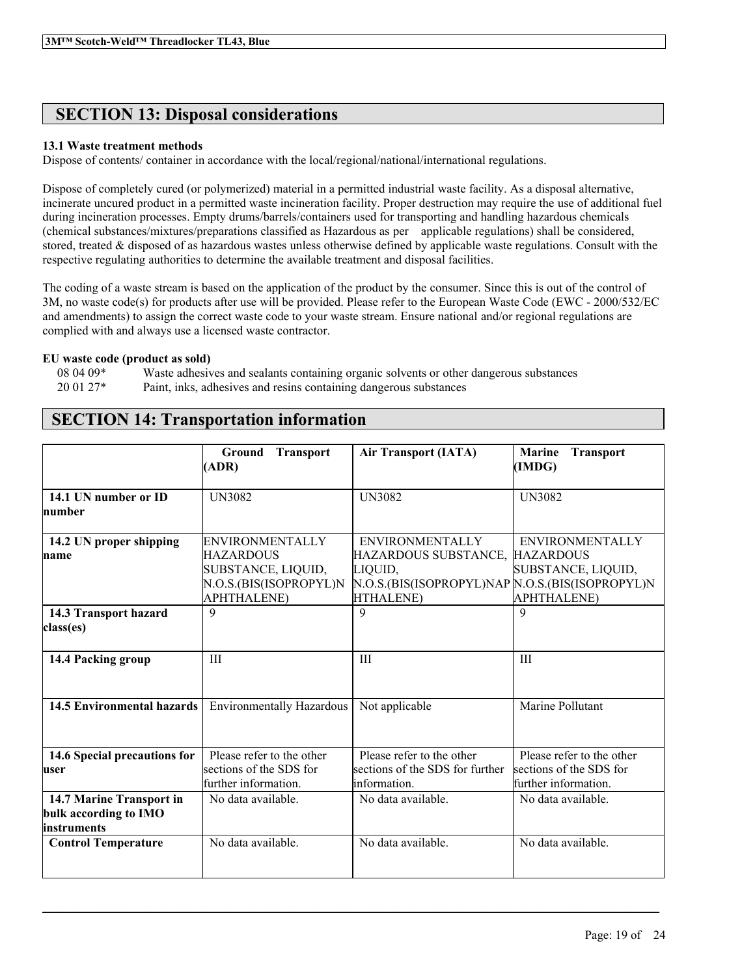# **SECTION 13: Disposal considerations**

### **13.1 Waste treatment methods**

Dispose of contents/ container in accordance with the local/regional/national/international regulations.

Dispose of completely cured (or polymerized) material in a permitted industrial waste facility. As a disposal alternative, incinerate uncured product in a permitted waste incineration facility. Proper destruction may require the use of additional fuel during incineration processes. Empty drums/barrels/containers used for transporting and handling hazardous chemicals (chemical substances/mixtures/preparations classified as Hazardous as per applicable regulations) shall be considered, stored, treated & disposed of as hazardous wastes unless otherwise defined by applicable waste regulations. Consult with the respective regulating authorities to determine the available treatment and disposal facilities.

The coding of a waste stream is based on the application of the product by the consumer. Since this is out of the control of 3M, no waste code(s) for products after use will be provided. Please refer to the European Waste Code (EWC - 2000/532/EC and amendments) to assign the correct waste code to your waste stream. Ensure national and/or regional regulations are complied with and always use a licensed waste contractor.

### **EU waste code (product as sold)**

08 04 09\* Waste adhesives and sealants containing organic solvents or other dangerous substances 20 01 27\* Paint, inks, adhesives and resins containing dangerous substances

|                                                                  | <b>Ground</b><br><b>Transport</b><br>(ADR)                                          | <b>Air Transport (IATA)</b>                                                                                            | <b>Marine</b><br><b>Transport</b><br>(IMDG)                                  |
|------------------------------------------------------------------|-------------------------------------------------------------------------------------|------------------------------------------------------------------------------------------------------------------------|------------------------------------------------------------------------------|
| 14.1 UN number or ID<br>Inumber                                  | <b>UN3082</b>                                                                       | <b>UN3082</b>                                                                                                          | <b>UN3082</b>                                                                |
| 14.2 UN proper shipping<br>name                                  | <b>ENVIRONMENTALLY</b><br>HAZARDOUS<br>SUBSTANCE, LIQUID,<br>N.O.S.(BIS(ISOPROPYL)N | <b>ENVIRONMENTALLY</b><br>HAZARDOUS SUBSTANCE, HAZARDOUS<br>LIQUID,<br>N.O.S.(BIS(ISOPROPYL)NAP N.O.S.(BIS(ISOPROPYL)N | <b>ENVIRONMENTALLY</b><br>SUBSTANCE, LIQUID,                                 |
| 14.3 Transport hazard<br>class(es)                               | <b>APHTHALENE)</b><br>9                                                             | HTHALENE)<br>$\mathbf Q$                                                                                               | <b>APHTHALENE</b> )<br>9                                                     |
| 14.4 Packing group                                               | III                                                                                 | III                                                                                                                    | III                                                                          |
| <b>14.5 Environmental hazards</b>                                | <b>Environmentally Hazardous</b>                                                    | Not applicable                                                                                                         | Marine Pollutant                                                             |
| 14.6 Special precautions for<br>luser                            | Please refer to the other<br>sections of the SDS for<br>further information.        | Please refer to the other<br>sections of the SDS for further<br>linformation.                                          | Please refer to the other<br>sections of the SDS for<br>further information. |
| 14.7 Marine Transport in<br>bulk according to IMO<br>instruments | No data available.                                                                  | No data available.                                                                                                     | No data available.                                                           |
| <b>Control Temperature</b>                                       | No data available                                                                   | No data available                                                                                                      | No data available.                                                           |

 $\mathcal{L}_\mathcal{L} = \mathcal{L}_\mathcal{L} = \mathcal{L}_\mathcal{L} = \mathcal{L}_\mathcal{L} = \mathcal{L}_\mathcal{L} = \mathcal{L}_\mathcal{L} = \mathcal{L}_\mathcal{L} = \mathcal{L}_\mathcal{L} = \mathcal{L}_\mathcal{L} = \mathcal{L}_\mathcal{L} = \mathcal{L}_\mathcal{L} = \mathcal{L}_\mathcal{L} = \mathcal{L}_\mathcal{L} = \mathcal{L}_\mathcal{L} = \mathcal{L}_\mathcal{L} = \mathcal{L}_\mathcal{L} = \mathcal{L}_\mathcal{L}$ 

# **SECTION 14: Transportation information**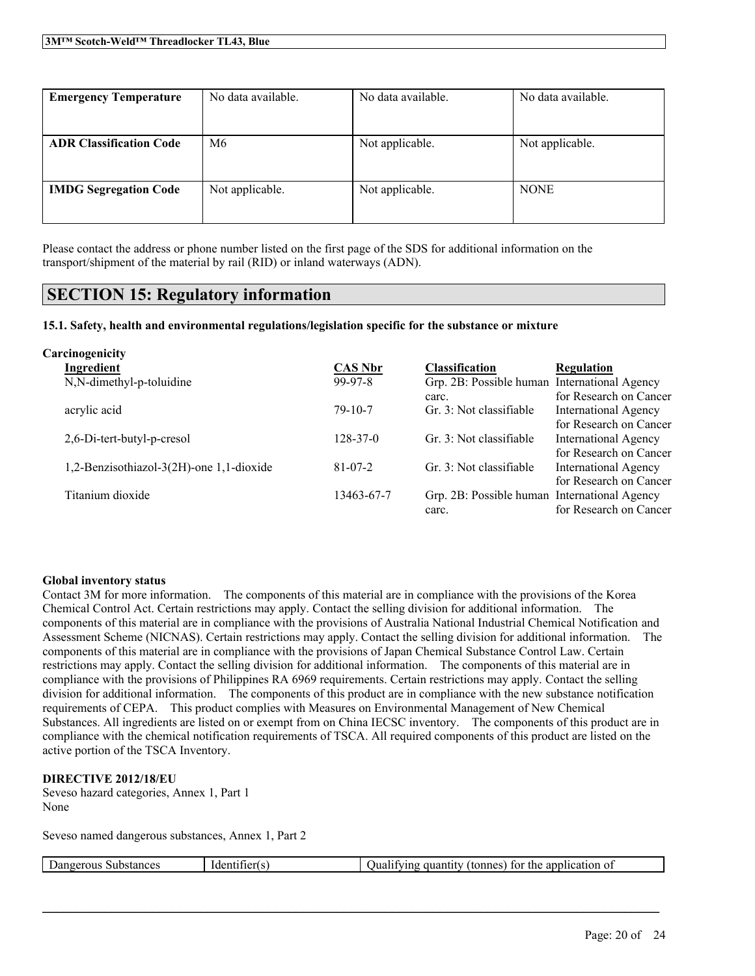| <b>Emergency Temperature</b>   | No data available. | No data available. | No data available. |  |
|--------------------------------|--------------------|--------------------|--------------------|--|
|                                |                    |                    |                    |  |
| <b>ADR Classification Code</b> | M6                 | Not applicable.    | Not applicable.    |  |
|                                |                    |                    |                    |  |
| <b>IMDG Segregation Code</b>   | Not applicable.    | Not applicable.    | <b>NONE</b>        |  |
|                                |                    |                    |                    |  |

Please contact the address or phone number listed on the first page of the SDS for additional information on the transport/shipment of the material by rail (RID) or inland waterways (ADN).

# **SECTION 15: Regulatory information**

**15.1. Safety, health and environmental regulations/legislation specific for the substance or mixture**

| Carcinogenicity                          |                |                                              |                             |
|------------------------------------------|----------------|----------------------------------------------|-----------------------------|
| Ingredient                               | <b>CAS Nbr</b> | <b>Classification</b>                        | <b>Regulation</b>           |
| N,N-dimethyl-p-toluidine                 | $99-97-8$      | Grp. 2B: Possible human International Agency |                             |
|                                          |                | carc.                                        | for Research on Cancer      |
| acrylic acid                             | $79-10-7$      | Gr. 3: Not classifiable                      | <b>International Agency</b> |
|                                          |                |                                              | for Research on Cancer      |
| 2,6-Di-tert-butyl-p-cresol               | $128 - 37 - 0$ | Gr. 3: Not classifiable                      | <b>International Agency</b> |
|                                          |                |                                              | for Research on Cancer      |
| 1,2-Benzisothiazol-3(2H)-one 1,1-dioxide | $81 - 07 - 2$  | Gr. 3: Not classifiable                      | <b>International Agency</b> |
|                                          |                |                                              | for Research on Cancer      |
| Titanium dioxide                         | 13463-67-7     | Grp. 2B: Possible human International Agency |                             |
|                                          |                | carc.                                        | for Research on Cancer      |

### **Global inventory status**

Contact 3M for more information. The components of this material are in compliance with the provisions of the Korea Chemical Control Act. Certain restrictions may apply. Contact the selling division for additional information. The components of this material are in compliance with the provisions of Australia National Industrial Chemical Notification and Assessment Scheme (NICNAS). Certain restrictions may apply. Contact the selling division for additional information. The components of this material are in compliance with the provisions of Japan Chemical Substance Control Law. Certain restrictions may apply. Contact the selling division for additional information. The components of this material are in compliance with the provisions of Philippines RA 6969 requirements. Certain restrictions may apply. Contact the selling division for additional information. The components of this product are in compliance with the new substance notification requirements of CEPA. This product complies with Measures on Environmental Management of New Chemical Substances. All ingredients are listed on or exempt from on China IECSC inventory. The components of this product are in compliance with the chemical notification requirements of TSCA. All required components of this product are listed on the active portion of the TSCA Inventory.

### **DIRECTIVE 2012/18/EU**

Seveso hazard categories, Annex 1, Part 1 None

Seveso named dangerous substances, Annex 1, Part 2

| Dangerous<br>Substances | -<br>Identifier(s) | application of<br>the .<br>dtonnes,<br>tor<br>quan<br>' Juan<br>llving<br>ILILV |
|-------------------------|--------------------|---------------------------------------------------------------------------------|
|                         |                    |                                                                                 |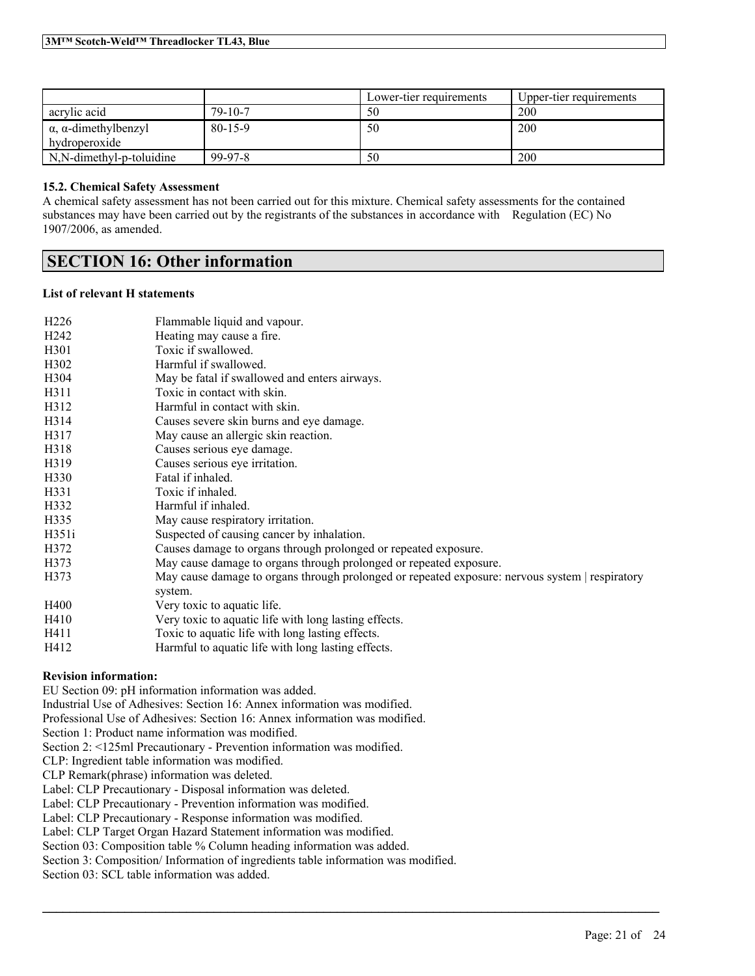|                                     |               | Lower-tier requirements | Upper-tier requirements |
|-------------------------------------|---------------|-------------------------|-------------------------|
| acrylic acid                        | $79 - 10 - 7$ | 50                      | 200                     |
| $\alpha$ , $\alpha$ -dimethylbenzyl | 80-15-9       | 50                      | 200                     |
| hydroperoxide                       |               |                         |                         |
| N,N-dimethyl-p-toluidine            | 99-97-8       | 50                      | 200                     |

### **15.2. Chemical Safety Assessment**

A chemical safety assessment has not been carried out for this mixture. Chemical safety assessments for the contained substances may have been carried out by the registrants of the substances in accordance with Regulation (EC) No 1907/2006, as amended.

# **SECTION 16: Other information**

### **List of relevant H statements**

| H <sub>226</sub>  | Flammable liquid and vapour.                                                                               |
|-------------------|------------------------------------------------------------------------------------------------------------|
| H <sub>242</sub>  | Heating may cause a fire.                                                                                  |
| H <sub>301</sub>  | Toxic if swallowed.                                                                                        |
| H <sub>3</sub> 02 | Harmful if swallowed.                                                                                      |
| H304              | May be fatal if swallowed and enters airways.                                                              |
| H311              | Toxic in contact with skin.                                                                                |
| H312              | Harmful in contact with skin.                                                                              |
| H314              | Causes severe skin burns and eye damage.                                                                   |
| H317              | May cause an allergic skin reaction.                                                                       |
| H318              | Causes serious eye damage.                                                                                 |
| H319              | Causes serious eye irritation.                                                                             |
| H330              | Fatal if inhaled.                                                                                          |
| H331              | Toxic if inhaled.                                                                                          |
| H332              | Harmful if inhaled.                                                                                        |
| H335              | May cause respiratory irritation.                                                                          |
| H351i             | Suspected of causing cancer by inhalation.                                                                 |
| H372              | Causes damage to organs through prolonged or repeated exposure.                                            |
| H373              | May cause damage to organs through prolonged or repeated exposure.                                         |
| H373              | May cause damage to organs through prolonged or repeated exposure: nervous system   respiratory<br>system. |
| H400              | Very toxic to aquatic life.                                                                                |
| H410              | Very toxic to aquatic life with long lasting effects.                                                      |
| H411              | Toxic to aquatic life with long lasting effects.                                                           |
| H412              | Harmful to aquatic life with long lasting effects.                                                         |

 $\mathcal{L}_\mathcal{L} = \mathcal{L}_\mathcal{L} = \mathcal{L}_\mathcal{L} = \mathcal{L}_\mathcal{L} = \mathcal{L}_\mathcal{L} = \mathcal{L}_\mathcal{L} = \mathcal{L}_\mathcal{L} = \mathcal{L}_\mathcal{L} = \mathcal{L}_\mathcal{L} = \mathcal{L}_\mathcal{L} = \mathcal{L}_\mathcal{L} = \mathcal{L}_\mathcal{L} = \mathcal{L}_\mathcal{L} = \mathcal{L}_\mathcal{L} = \mathcal{L}_\mathcal{L} = \mathcal{L}_\mathcal{L} = \mathcal{L}_\mathcal{L}$ 

### **Revision information:**

EU Section 09: pH information information was added.

Industrial Use of Adhesives: Section 16: Annex information was modified.

Professional Use of Adhesives: Section 16: Annex information was modified.

Section 1: Product name information was modified.

Section 2: <125ml Precautionary - Prevention information was modified.

CLP: Ingredient table information was modified.

CLP Remark(phrase) information was deleted.

Label: CLP Precautionary - Disposal information was deleted.

Label: CLP Precautionary - Prevention information was modified.

Label: CLP Precautionary - Response information was modified.

Label: CLP Target Organ Hazard Statement information was modified.

Section 03: Composition table % Column heading information was added.

Section 3: Composition/ Information of ingredients table information was modified.

Section 03: SCL table information was added.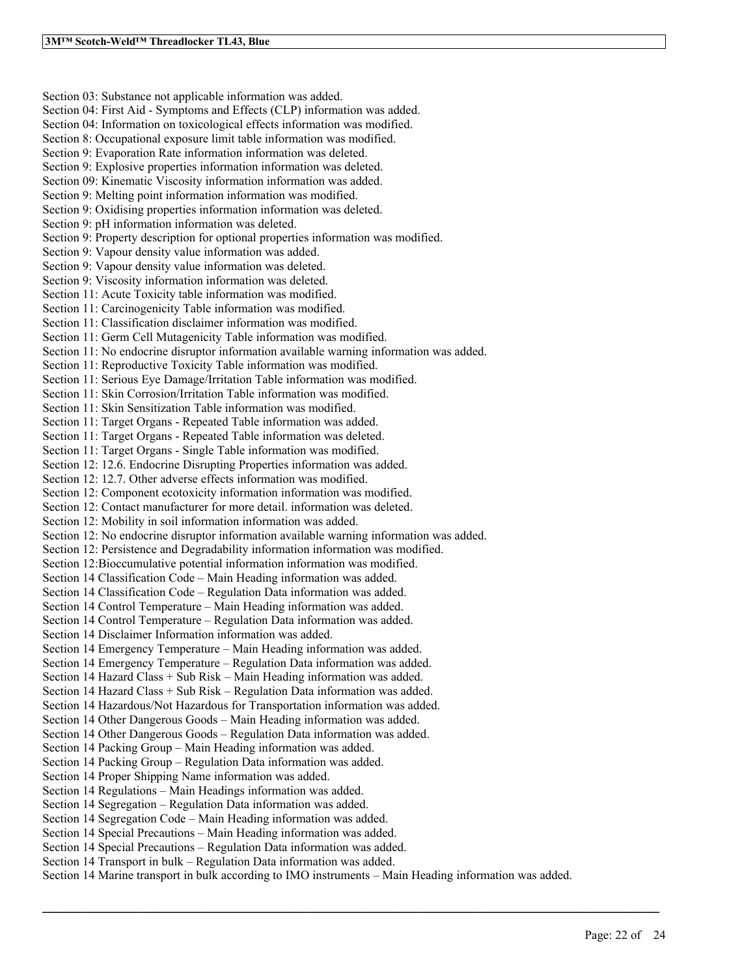Section 03: Substance not applicable information was added. Section 04: First Aid - Symptoms and Effects (CLP) information was added. Section 04: Information on toxicological effects information was modified. Section 8: Occupational exposure limit table information was modified. Section 9: Evaporation Rate information information was deleted. Section 9: Explosive properties information information was deleted. Section 09: Kinematic Viscosity information information was added. Section 9: Melting point information information was modified. Section 9: Oxidising properties information information was deleted. Section 9: pH information information was deleted. Section 9: Property description for optional properties information was modified. Section 9: Vapour density value information was added. Section 9: Vapour density value information was deleted. Section 9: Viscosity information information was deleted. Section 11: Acute Toxicity table information was modified. Section 11: Carcinogenicity Table information was modified. Section 11: Classification disclaimer information was modified. Section 11: Germ Cell Mutagenicity Table information was modified. Section 11: No endocrine disruptor information available warning information was added. Section 11: Reproductive Toxicity Table information was modified. Section 11: Serious Eye Damage/Irritation Table information was modified. Section 11: Skin Corrosion/Irritation Table information was modified. Section 11: Skin Sensitization Table information was modified. Section 11: Target Organs - Repeated Table information was added. Section 11: Target Organs - Repeated Table information was deleted. Section 11: Target Organs - Single Table information was modified. Section 12: 12.6. Endocrine Disrupting Properties information was added. Section 12: 12.7. Other adverse effects information was modified. Section 12: Component ecotoxicity information information was modified. Section 12: Contact manufacturer for more detail. information was deleted. Section 12: Mobility in soil information information was added. Section 12: No endocrine disruptor information available warning information was added. Section 12: Persistence and Degradability information information was modified. Section 12:Bioccumulative potential information information was modified. Section 14 Classification Code – Main Heading information was added. Section 14 Classification Code – Regulation Data information was added. Section 14 Control Temperature – Main Heading information was added. Section 14 Control Temperature – Regulation Data information was added. Section 14 Disclaimer Information information was added. Section 14 Emergency Temperature – Main Heading information was added. Section 14 Emergency Temperature – Regulation Data information was added. Section 14 Hazard Class + Sub Risk – Main Heading information was added. Section 14 Hazard Class + Sub Risk – Regulation Data information was added. Section 14 Hazardous/Not Hazardous for Transportation information was added. Section 14 Other Dangerous Goods – Main Heading information was added. Section 14 Other Dangerous Goods – Regulation Data information was added. Section 14 Packing Group – Main Heading information was added. Section 14 Packing Group – Regulation Data information was added. Section 14 Proper Shipping Name information was added. Section 14 Regulations – Main Headings information was added. Section 14 Segregation – Regulation Data information was added. Section 14 Segregation Code – Main Heading information was added. Section 14 Special Precautions – Main Heading information was added. Section 14 Special Precautions – Regulation Data information was added. Section 14 Transport in bulk – Regulation Data information was added. Section 14 Marine transport in bulk according to IMO instruments – Main Heading information was added.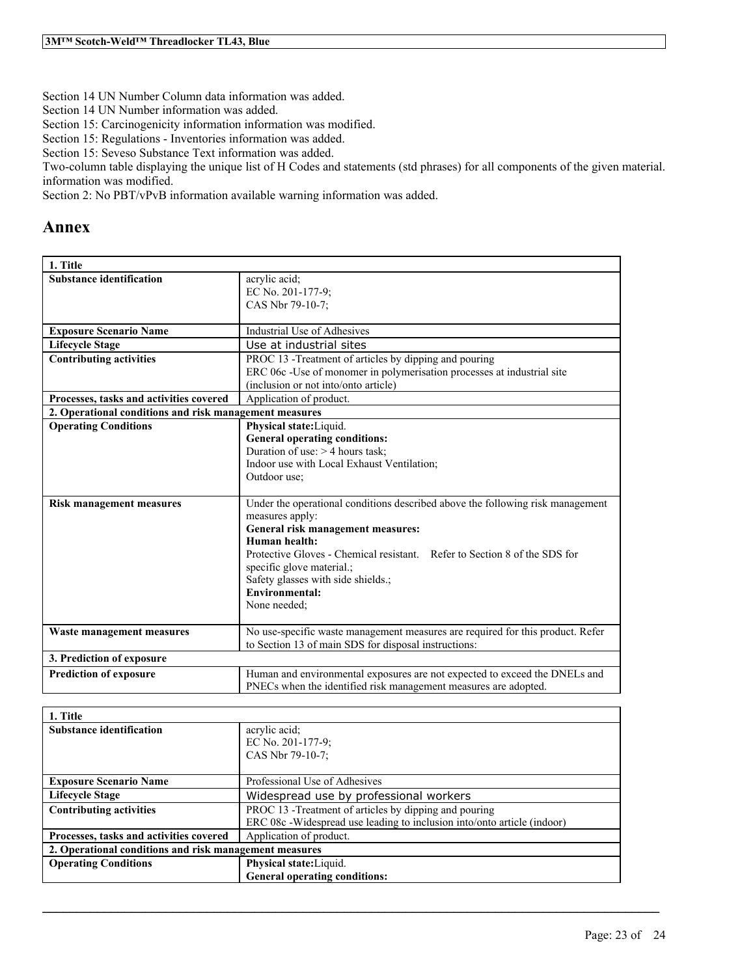Section 14 UN Number Column data information was added.

Section 14 UN Number information was added.

Section 15: Carcinogenicity information information was modified.

Section 15: Regulations - Inventories information was added.

Section 15: Seveso Substance Text information was added.

Two-column table displaying the unique list of H Codes and statements (std phrases) for all components of the given material. information was modified.

Section 2: No PBT/vPvB information available warning information was added.

# **Annex**

| 1. Title                                               |                                                                                |  |
|--------------------------------------------------------|--------------------------------------------------------------------------------|--|
| <b>Substance identification</b>                        | acrylic acid;<br>EC No. 201-177-9;                                             |  |
|                                                        | CAS Nbr 79-10-7:                                                               |  |
|                                                        |                                                                                |  |
| <b>Exposure Scenario Name</b>                          | Industrial Use of Adhesives                                                    |  |
| <b>Lifecycle Stage</b>                                 | Use at industrial sites                                                        |  |
| <b>Contributing activities</b>                         | PROC 13 -Treatment of articles by dipping and pouring                          |  |
|                                                        | ERC 06c -Use of monomer in polymerisation processes at industrial site         |  |
|                                                        | (inclusion or not into/onto article)                                           |  |
| Processes, tasks and activities covered                | Application of product.                                                        |  |
| 2. Operational conditions and risk management measures |                                                                                |  |
| <b>Operating Conditions</b>                            | Physical state: Liquid.                                                        |  |
|                                                        | <b>General operating conditions:</b>                                           |  |
|                                                        | Duration of use: $>$ 4 hours task;                                             |  |
|                                                        | Indoor use with Local Exhaust Ventilation;                                     |  |
|                                                        | Outdoor use;                                                                   |  |
| <b>Risk management measures</b>                        | Under the operational conditions described above the following risk management |  |
|                                                        | measures apply:                                                                |  |
|                                                        | General risk management measures:                                              |  |
|                                                        | Human health:                                                                  |  |
|                                                        | Protective Gloves - Chemical resistant. Refer to Section 8 of the SDS for      |  |
|                                                        | specific glove material.;                                                      |  |
|                                                        | Safety glasses with side shields.;                                             |  |
|                                                        | <b>Environmental:</b>                                                          |  |
|                                                        | None needed;                                                                   |  |
| Waste management measures                              | No use-specific waste management measures are required for this product. Refer |  |
|                                                        | to Section 13 of main SDS for disposal instructions:                           |  |
| 3. Prediction of exposure                              |                                                                                |  |
| <b>Prediction of exposure</b>                          | Human and environmental exposures are not expected to exceed the DNELs and     |  |
|                                                        | PNECs when the identified risk management measures are adopted.                |  |
|                                                        |                                                                                |  |

| 1. Title                                               |                                                                         |  |
|--------------------------------------------------------|-------------------------------------------------------------------------|--|
| <b>Substance identification</b>                        | acrylic acid;                                                           |  |
|                                                        | EC No. 201-177-9:                                                       |  |
|                                                        | CAS Nbr 79-10-7:                                                        |  |
|                                                        |                                                                         |  |
| <b>Exposure Scenario Name</b>                          | Professional Use of Adhesives                                           |  |
| <b>Lifecycle Stage</b>                                 | Widespread use by professional workers                                  |  |
| <b>Contributing activities</b>                         | PROC 13 - Treatment of articles by dipping and pouring                  |  |
|                                                        | ERC 08c -Widespread use leading to inclusion into/onto article (indoor) |  |
| Processes, tasks and activities covered                | Application of product.                                                 |  |
| 2. Operational conditions and risk management measures |                                                                         |  |
| <b>Operating Conditions</b>                            | Physical state: Liquid.                                                 |  |
|                                                        | <b>General operating conditions:</b>                                    |  |